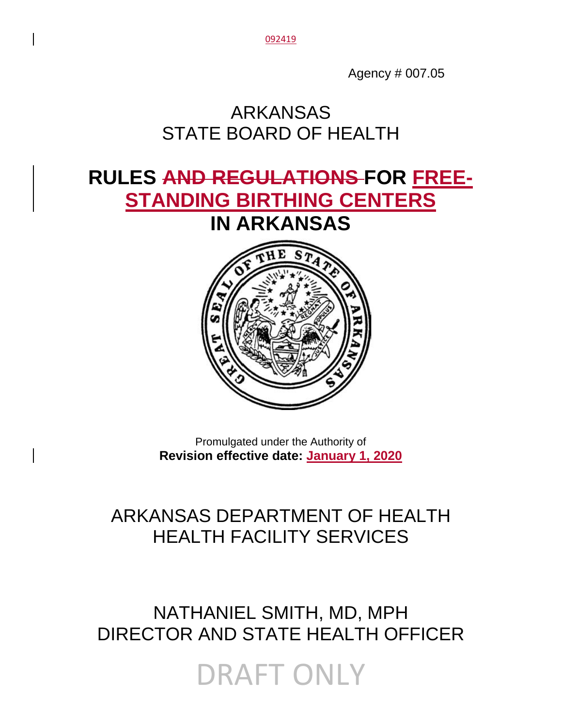092419

Agency # 007.05

# ARKANSAS STATE BOARD OF HEALTH

# **RULES AND REGULATIONS FOR FREE-STANDING BIRTHING CENTERS IN ARKANSAS**



Promulgated under the Authority of **Revision effective date: January 1, 2020**

# ARKANSAS DEPARTMENT OF HEALTH HEALTH FACILITY SERVICES

# NATHANIEL SMITH, MD, MPH DIRECTOR AND STATE HEALTH OFFICER

DRAFT ONLY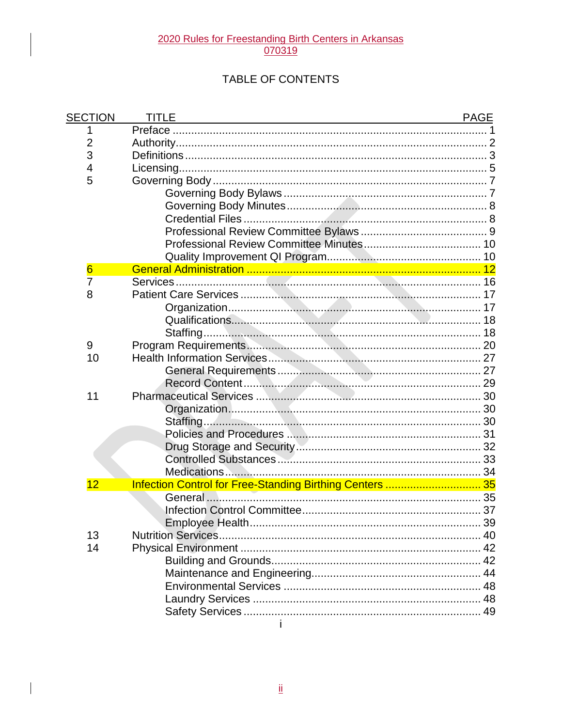# 2020 Rules for Freestanding Birth Centers in Arkansas<br>070319

# TABLE OF CONTENTS

| <b>SECTION</b>  | TITLE                                                    | <b>PAGE</b> |
|-----------------|----------------------------------------------------------|-------------|
| 1               |                                                          |             |
| 2               |                                                          |             |
| 3               |                                                          |             |
| 4               |                                                          |             |
| 5               |                                                          |             |
|                 |                                                          |             |
|                 |                                                          |             |
|                 |                                                          |             |
|                 |                                                          |             |
|                 |                                                          |             |
|                 |                                                          |             |
| $6\overline{6}$ |                                                          |             |
| $\overline{7}$  |                                                          |             |
| 8               |                                                          |             |
|                 |                                                          |             |
|                 |                                                          | 18          |
|                 |                                                          | 18          |
| 9               |                                                          |             |
| 10              |                                                          |             |
|                 |                                                          |             |
|                 |                                                          |             |
| 11              |                                                          |             |
|                 |                                                          |             |
|                 |                                                          |             |
|                 |                                                          |             |
|                 |                                                          |             |
|                 |                                                          |             |
|                 |                                                          |             |
| 12              | Infection Control for Free-Standing Birthing Centers  35 |             |
|                 |                                                          |             |
|                 |                                                          |             |
|                 |                                                          |             |
| 13              |                                                          |             |
| 14              |                                                          |             |
|                 |                                                          |             |
|                 |                                                          |             |
|                 |                                                          |             |
|                 |                                                          |             |
|                 |                                                          |             |
|                 | j.                                                       |             |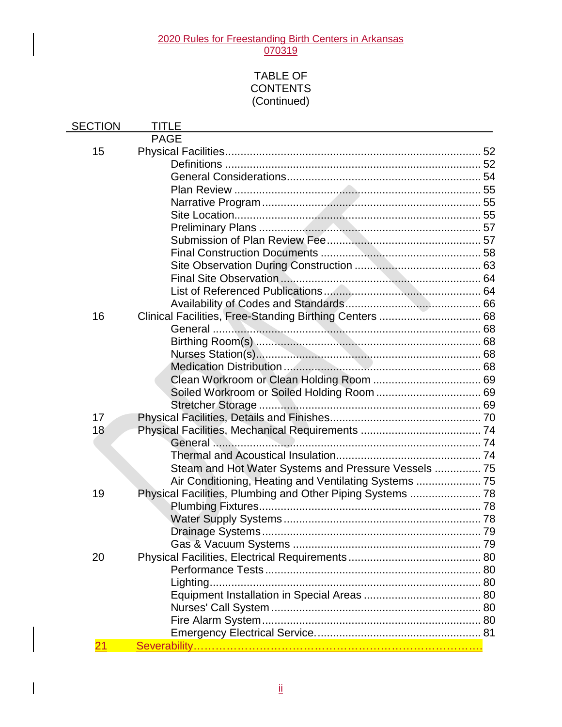# 2020 Rules for Freestanding Birth Centers in Arkansas

070319

# TABLE OF **CONTENTS** (Continued)

| <b>SECTION</b> | TITLE                                                |  |
|----------------|------------------------------------------------------|--|
|                | <b>PAGE</b>                                          |  |
| 15             |                                                      |  |
|                |                                                      |  |
|                |                                                      |  |
|                |                                                      |  |
|                |                                                      |  |
|                |                                                      |  |
|                |                                                      |  |
|                |                                                      |  |
|                |                                                      |  |
|                |                                                      |  |
|                |                                                      |  |
|                |                                                      |  |
|                |                                                      |  |
| 16             |                                                      |  |
|                |                                                      |  |
|                |                                                      |  |
|                |                                                      |  |
|                |                                                      |  |
|                |                                                      |  |
|                |                                                      |  |
|                |                                                      |  |
| 17             |                                                      |  |
| 18             |                                                      |  |
|                |                                                      |  |
|                |                                                      |  |
|                | Steam and Hot Water Systems and Pressure Vessels  75 |  |
| 19             |                                                      |  |
|                |                                                      |  |
|                |                                                      |  |
|                |                                                      |  |
|                |                                                      |  |
| 20             |                                                      |  |
|                |                                                      |  |
|                |                                                      |  |
|                |                                                      |  |
|                |                                                      |  |
|                |                                                      |  |
|                |                                                      |  |
| 21             |                                                      |  |
|                |                                                      |  |

 $\overline{\phantom{a}}$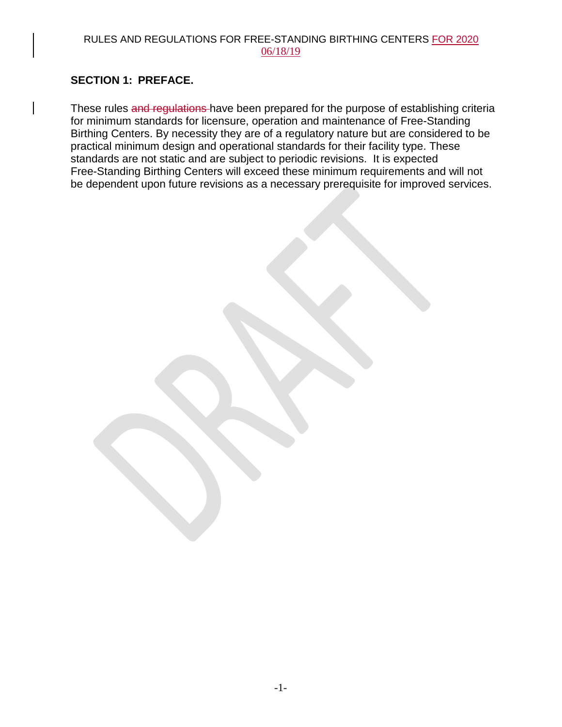#### RULES AND REGULATIONS FOR FREE-STANDING BIRTHING CENTERS FOR 2020 06/18/19

# **SECTION 1: PREFACE.**

These rules and regulations have been prepared for the purpose of establishing criteria for minimum standards for licensure, operation and maintenance of Free-Standing Birthing Centers. By necessity they are of a regulatory nature but are considered to be practical minimum design and operational standards for their facility type. These standards are not static and are subject to periodic revisions. It is expected Free-Standing Birthing Centers will exceed these minimum requirements and will not be dependent upon future revisions as a necessary prerequisite for improved services.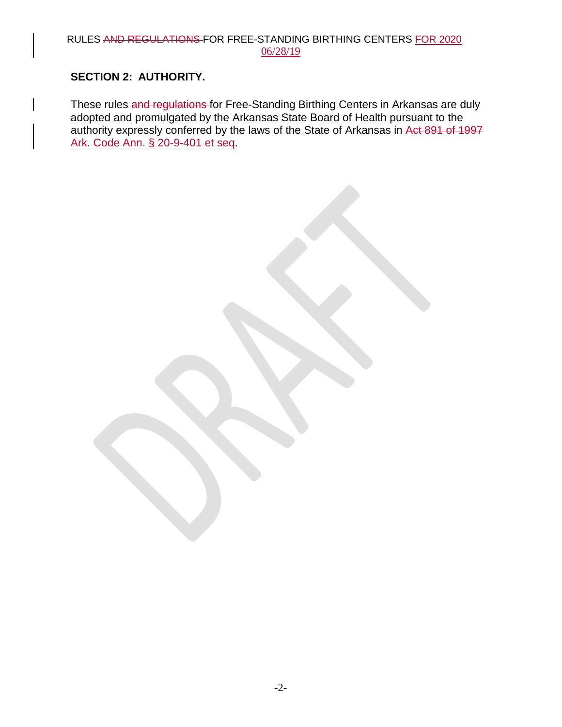#### RULES AND REGULATIONS FOR FREE-STANDING BIRTHING CENTERS FOR 2020 06/28/19

# **SECTION 2: AUTHORITY.**

These rules and regulations for Free-Standing Birthing Centers in Arkansas are duly adopted and promulgated by the Arkansas State Board of Health pursuant to the authority expressly conferred by the laws of the State of Arkansas in Act 891 of 1997 Ark. Code Ann. § 20-9-401 et seq.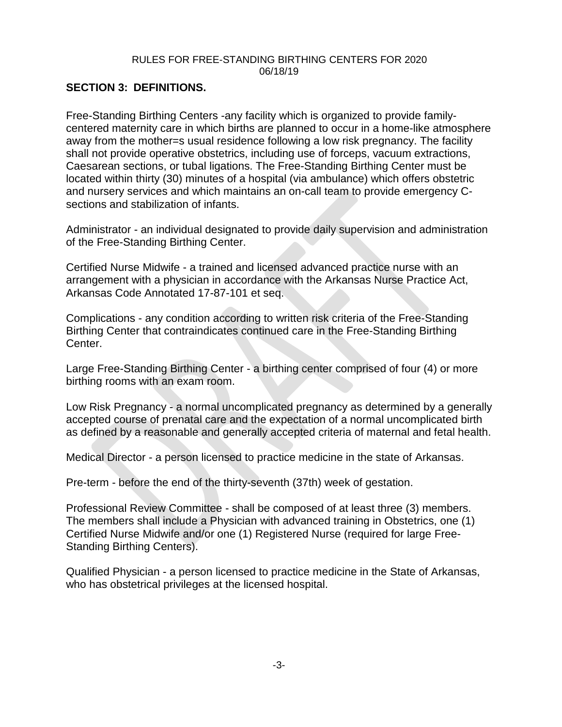### **SECTION 3: DEFINITIONS.**

Free-Standing Birthing Centers -any facility which is organized to provide familycentered maternity care in which births are planned to occur in a home-like atmosphere away from the mother=s usual residence following a low risk pregnancy. The facility shall not provide operative obstetrics, including use of forceps, vacuum extractions, Caesarean sections, or tubal ligations. The Free-Standing Birthing Center must be located within thirty (30) minutes of a hospital (via ambulance) which offers obstetric and nursery services and which maintains an on-call team to provide emergency Csections and stabilization of infants.

Administrator - an individual designated to provide daily supervision and administration of the Free-Standing Birthing Center.

Certified Nurse Midwife - a trained and licensed advanced practice nurse with an arrangement with a physician in accordance with the Arkansas Nurse Practice Act, Arkansas Code Annotated 17-87-101 et seq.

Complications - any condition according to written risk criteria of the Free-Standing Birthing Center that contraindicates continued care in the Free-Standing Birthing Center.

Large Free-Standing Birthing Center - a birthing center comprised of four (4) or more birthing rooms with an exam room.

Low Risk Pregnancy - a normal uncomplicated pregnancy as determined by a generally accepted course of prenatal care and the expectation of a normal uncomplicated birth as defined by a reasonable and generally accepted criteria of maternal and fetal health.

Medical Director - a person licensed to practice medicine in the state of Arkansas.

Pre-term - before the end of the thirty-seventh (37th) week of gestation.

Professional Review Committee - shall be composed of at least three (3) members. The members shall include a Physician with advanced training in Obstetrics, one (1) Certified Nurse Midwife and/or one (1) Registered Nurse (required for large Free-Standing Birthing Centers).

Qualified Physician - a person licensed to practice medicine in the State of Arkansas, who has obstetrical privileges at the licensed hospital.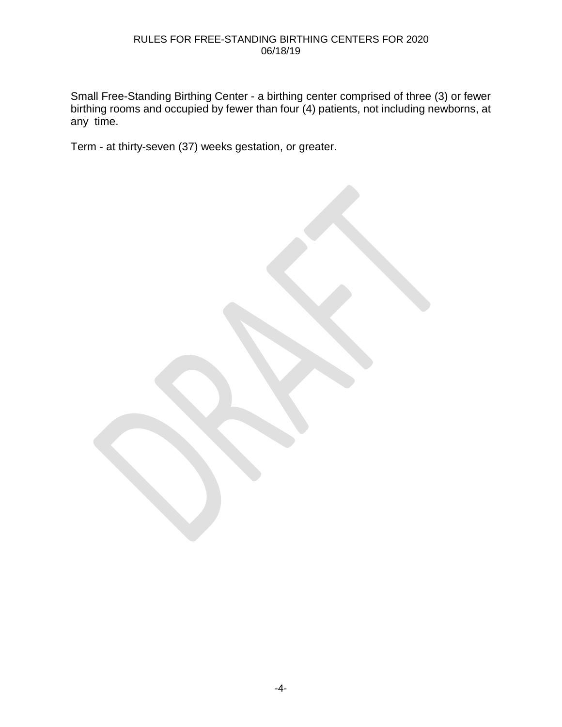Small Free-Standing Birthing Center - a birthing center comprised of three (3) or fewer birthing rooms and occupied by fewer than four (4) patients, not including newborns, at any time.

Term - at thirty-seven (37) weeks gestation, or greater.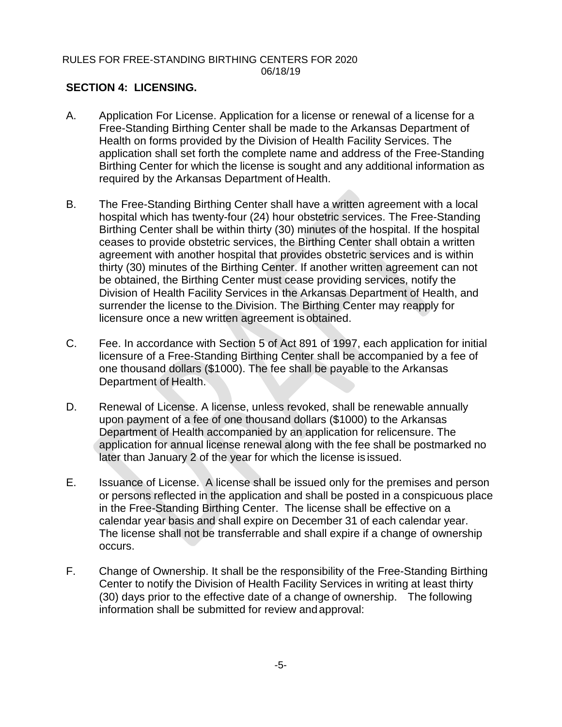# **SECTION 4: LICENSING.**

- A. Application For License. Application for a license or renewal of a license for a Free-Standing Birthing Center shall be made to the Arkansas Department of Health on forms provided by the Division of Health Facility Services. The application shall set forth the complete name and address of the Free-Standing Birthing Center for which the license is sought and any additional information as required by the Arkansas Department of Health.
- B. The Free-Standing Birthing Center shall have a written agreement with a local hospital which has twenty-four (24) hour obstetric services. The Free-Standing Birthing Center shall be within thirty (30) minutes of the hospital. If the hospital ceases to provide obstetric services, the Birthing Center shall obtain a written agreement with another hospital that provides obstetric services and is within thirty (30) minutes of the Birthing Center. If another written agreement can not be obtained, the Birthing Center must cease providing services, notify the Division of Health Facility Services in the Arkansas Department of Health, and surrender the license to the Division. The Birthing Center may reapply for licensure once a new written agreement isobtained.
- C. Fee. In accordance with Section 5 of Act 891 of 1997, each application for initial licensure of a Free-Standing Birthing Center shall be accompanied by a fee of one thousand dollars (\$1000). The fee shall be payable to the Arkansas Department of Health.
- D. Renewal of License. A license, unless revoked, shall be renewable annually upon payment of a fee of one thousand dollars (\$1000) to the Arkansas Department of Health accompanied by an application for relicensure. The application for annual license renewal along with the fee shall be postmarked no later than January 2 of the year for which the license is issued.
- E. Issuance of License. A license shall be issued only for the premises and person or persons reflected in the application and shall be posted in a conspicuous place in the Free-Standing Birthing Center. The license shall be effective on a calendar year basis and shall expire on December 31 of each calendar year. The license shall not be transferrable and shall expire if a change of ownership occurs.
- F. Change of Ownership. It shall be the responsibility of the Free-Standing Birthing Center to notify the Division of Health Facility Services in writing at least thirty (30) days prior to the effective date of a change of ownership. The following information shall be submitted for review andapproval: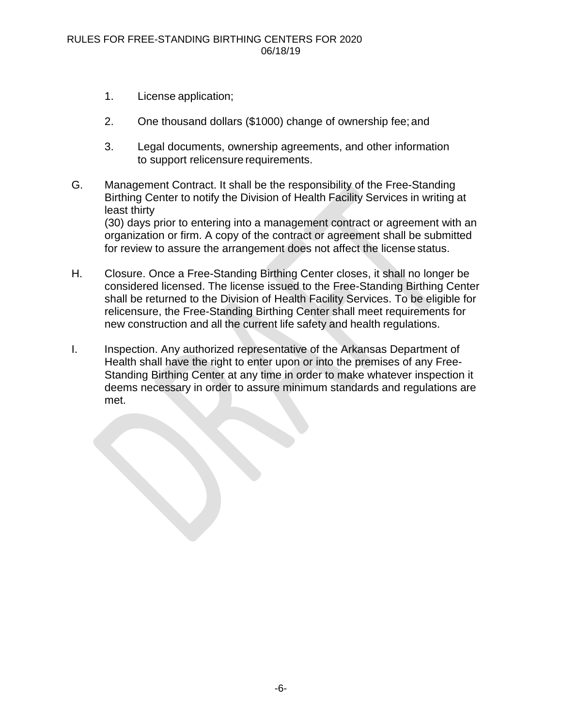- 1. License application;
- 2. One thousand dollars (\$1000) change of ownership fee; and
- 3. Legal documents, ownership agreements, and other information to support relicensure requirements.
- G. Management Contract. It shall be the responsibility of the Free-Standing Birthing Center to notify the Division of Health Facility Services in writing at least thirty (30) days prior to entering into a management contract or agreement with an organization or firm. A copy of the contract or agreement shall be submitted for review to assure the arrangement does not affect the license status.
- H. Closure. Once a Free-Standing Birthing Center closes, it shall no longer be considered licensed. The license issued to the Free-Standing Birthing Center shall be returned to the Division of Health Facility Services. To be eligible for relicensure, the Free-Standing Birthing Center shall meet requirements for new construction and all the current life safety and health regulations.
- I. Inspection. Any authorized representative of the Arkansas Department of Health shall have the right to enter upon or into the premises of any Free-Standing Birthing Center at any time in order to make whatever inspection it deems necessary in order to assure minimum standards and regulations are met.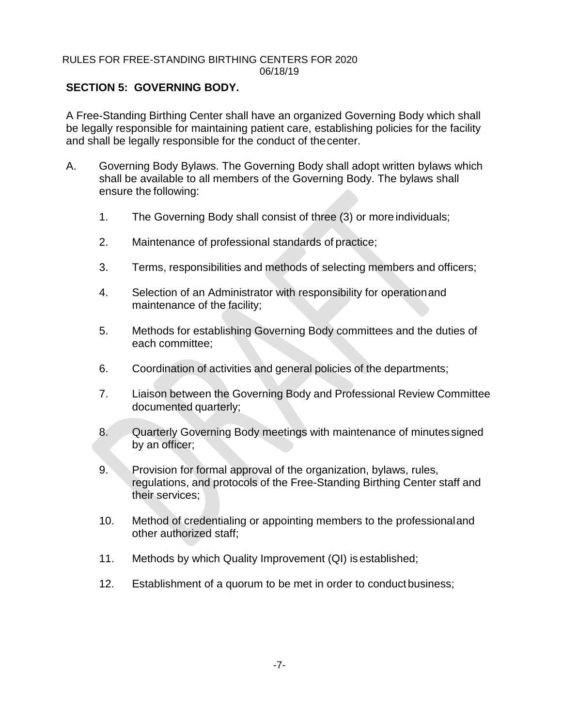# **SECTION 5: GOVERNING BODY.**

A Free-Standing Birthing Center shall have an organized Governing Body which shall be legally responsible for maintaining patient care, establishing policies for the facility and shall be legally responsible for the conduct of thecenter.

- A. Governing Body Bylaws. The Governing Body shall adopt written bylaws which shall be available to all members of the Governing Body. The bylaws shall ensure the following:
	- 1. The Governing Body shall consist of three (3) or more individuals;
	- 2. Maintenance of professional standards of practice;
	- 3. Terms, responsibilities and methods of selecting members and officers;
	- 4. Selection of an Administrator with responsibility for operationand maintenance of the facility;
	- 5. Methods for establishing Governing Body committees and the duties of each committee;
	- 6. Coordination of activities and general policies of the departments;
	- 7. Liaison between the Governing Body and Professional Review Committee documented quarterly;
	- 8. Quarterly Governing Body meetings with maintenance of minutessigned by an officer;
	- 9. Provision for formal approval of the organization, bylaws, rules, regulations, and protocols of the Free-Standing Birthing Center staff and their services;
	- 10. Method of credentialing or appointing members to the professionaland other authorized staff;
	- 11. Methods by which Quality Improvement (QI) is established;
	- 12. Establishment of a quorum to be met in order to conduct business;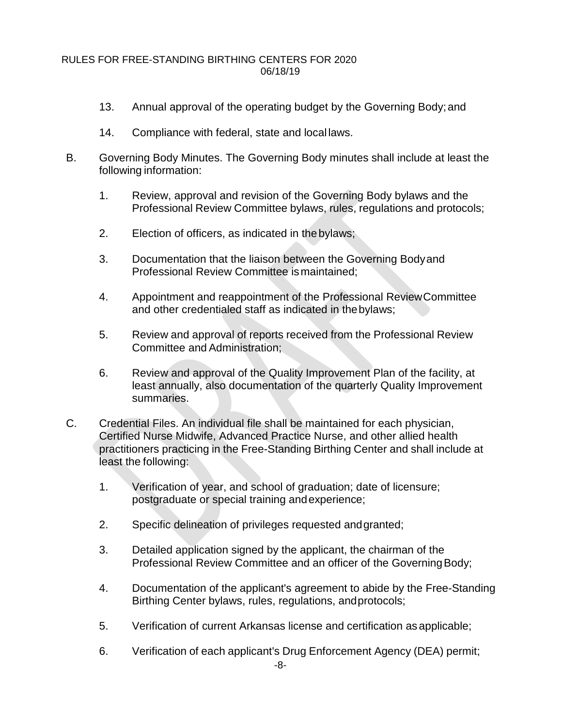- 13. Annual approval of the operating budget by the Governing Body;and
- 14. Compliance with federal, state and local laws.
- B. Governing Body Minutes. The Governing Body minutes shall include at least the following information:
	- 1. Review, approval and revision of the Governing Body bylaws and the Professional Review Committee bylaws, rules, regulations and protocols;
	- 2. Election of officers, as indicated in the bylaws;
	- 3. Documentation that the liaison between the Governing Bodyand Professional Review Committee ismaintained;
	- 4. Appointment and reappointment of the Professional ReviewCommittee and other credentialed staff as indicated in thebylaws;
	- 5. Review and approval of reports received from the Professional Review Committee and Administration;
	- 6. Review and approval of the Quality Improvement Plan of the facility, at least annually, also documentation of the quarterly Quality Improvement summaries.
- C. Credential Files. An individual file shall be maintained for each physician, Certified Nurse Midwife, Advanced Practice Nurse, and other allied health practitioners practicing in the Free-Standing Birthing Center and shall include at least the following:
	- 1. Verification of year, and school of graduation; date of licensure; postgraduate or special training andexperience;
	- 2. Specific delineation of privileges requested andgranted;
	- 3. Detailed application signed by the applicant, the chairman of the Professional Review Committee and an officer of the Governing Body;
	- 4. Documentation of the applicant's agreement to abide by the Free-Standing Birthing Center bylaws, rules, regulations, andprotocols;
	- 5. Verification of current Arkansas license and certification asapplicable;
	- 6. Verification of each applicant's Drug Enforcement Agency (DEA) permit;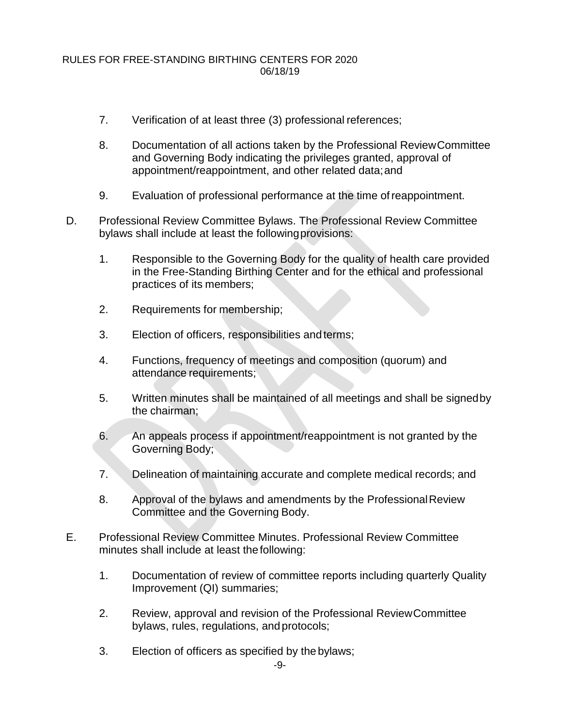- 7. Verification of at least three (3) professional references;
- 8. Documentation of all actions taken by the Professional ReviewCommittee and Governing Body indicating the privileges granted, approval of appointment/reappointment, and other related data;and
- 9. Evaluation of professional performance at the time ofreappointment.
- D. Professional Review Committee Bylaws. The Professional Review Committee bylaws shall include at least the followingprovisions:
	- 1. Responsible to the Governing Body for the quality of health care provided in the Free-Standing Birthing Center and for the ethical and professional practices of its members;
	- 2. Requirements for membership;
	- 3. Election of officers, responsibilities and terms;
	- 4. Functions, frequency of meetings and composition (quorum) and attendance requirements;
	- 5. Written minutes shall be maintained of all meetings and shall be signedby the chairman;
	- 6. An appeals process if appointment/reappointment is not granted by the Governing Body;
	- 7. Delineation of maintaining accurate and complete medical records; and
	- 8. Approval of the bylaws and amendments by the Professional Review Committee and the Governing Body.
- E. Professional Review Committee Minutes. Professional Review Committee minutes shall include at least thefollowing:
	- 1. Documentation of review of committee reports including quarterly Quality Improvement (QI) summaries;
	- 2. Review, approval and revision of the Professional ReviewCommittee bylaws, rules, regulations, andprotocols;
	- 3. Election of officers as specified by the bylaws;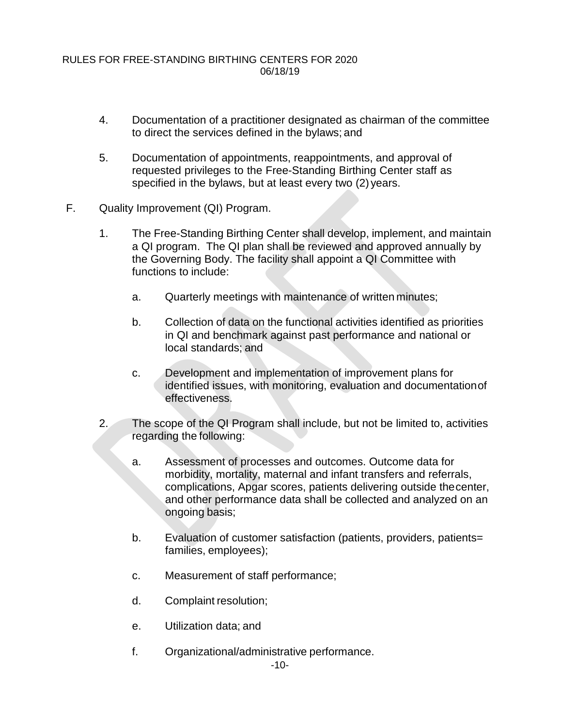- 4. Documentation of a practitioner designated as chairman of the committee to direct the services defined in the bylaws; and
- 5. Documentation of appointments, reappointments, and approval of requested privileges to the Free-Standing Birthing Center staff as specified in the bylaws, but at least every two (2) years.
- F. Quality Improvement (QI) Program.
	- 1. The Free-Standing Birthing Center shall develop, implement, and maintain a QI program. The QI plan shall be reviewed and approved annually by the Governing Body. The facility shall appoint a QI Committee with functions to include:
		- a. Quarterly meetings with maintenance of written minutes;
		- b. Collection of data on the functional activities identified as priorities in QI and benchmark against past performance and national or local standards; and
		- c. Development and implementation of improvement plans for identified issues, with monitoring, evaluation and documentationof effectiveness.
	- 2. The scope of the QI Program shall include, but not be limited to, activities regarding the following:
		- a. Assessment of processes and outcomes. Outcome data for morbidity, mortality, maternal and infant transfers and referrals, complications, Apgar scores, patients delivering outside thecenter, and other performance data shall be collected and analyzed on an ongoing basis;
		- b. Evaluation of customer satisfaction (patients, providers, patients= families, employees);
		- c. Measurement of staff performance;
		- d. Complaint resolution;
		- e. Utilization data; and
		- f. Organizational/administrative performance.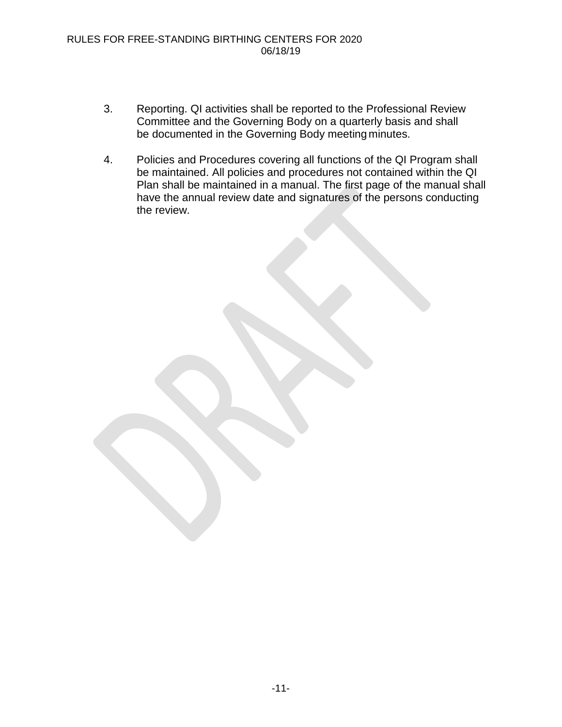- 3. Reporting. QI activities shall be reported to the Professional Review Committee and the Governing Body on a quarterly basis and shall be documented in the Governing Body meeting minutes.
- 4. Policies and Procedures covering all functions of the QI Program shall be maintained. All policies and procedures not contained within the QI Plan shall be maintained in a manual. The first page of the manual shall have the annual review date and signatures of the persons conducting the review.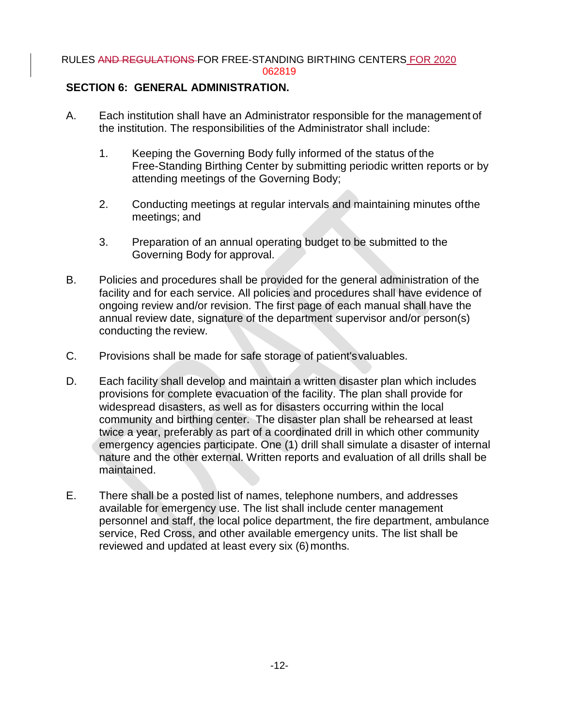#### RULES AND REGULATIONS FOR FREE-STANDING BIRTHING CENTERS FOR 2020 062819

### **SECTION 6: GENERAL ADMINISTRATION.**

- A. Each institution shall have an Administrator responsible for the management of the institution. The responsibilities of the Administrator shall include:
	- 1. Keeping the Governing Body fully informed of the status of the Free-Standing Birthing Center by submitting periodic written reports or by attending meetings of the Governing Body;
	- 2. Conducting meetings at regular intervals and maintaining minutes ofthe meetings; and
	- 3. Preparation of an annual operating budget to be submitted to the Governing Body for approval.
- B. Policies and procedures shall be provided for the general administration of the facility and for each service. All policies and procedures shall have evidence of ongoing review and/or revision. The first page of each manual shall have the annual review date, signature of the department supervisor and/or person(s) conducting the review.
- C. Provisions shall be made for safe storage of patient'svaluables.
- D. Each facility shall develop and maintain a written disaster plan which includes provisions for complete evacuation of the facility. The plan shall provide for widespread disasters, as well as for disasters occurring within the local community and birthing center. The disaster plan shall be rehearsed at least twice a year, preferably as part of a coordinated drill in which other community emergency agencies participate. One (1) drill shall simulate a disaster of internal nature and the other external. Written reports and evaluation of all drills shall be maintained.
- E. There shall be a posted list of names, telephone numbers, and addresses available for emergency use. The list shall include center management personnel and staff, the local police department, the fire department, ambulance service, Red Cross, and other available emergency units. The list shall be reviewed and updated at least every six (6) months.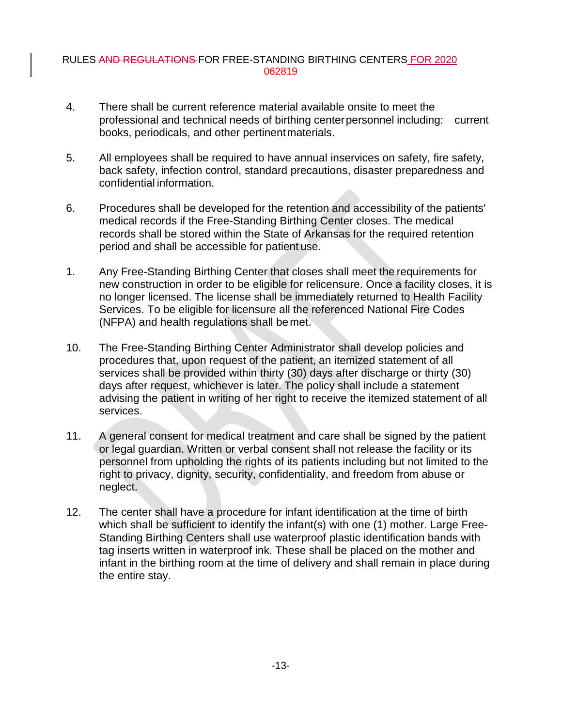#### RULES AND REGULATIONS FOR FREE-STANDING BIRTHING CENTERS FOR 2020 062819

- 4. There shall be current reference material available onsite to meet the professional and technical needs of birthing centerpersonnel including: current books, periodicals, and other pertinentmaterials.
- 5. All employees shall be required to have annual inservices on safety, fire safety, back safety, infection control, standard precautions, disaster preparedness and confidential information.
- 6. Procedures shall be developed for the retention and accessibility of the patients' medical records if the Free-Standing Birthing Center closes. The medical records shall be stored within the State of Arkansas for the required retention period and shall be accessible for patient use.
- 1. Any Free-Standing Birthing Center that closes shall meet the requirements for new construction in order to be eligible for relicensure. Once a facility closes, it is no longer licensed. The license shall be immediately returned to Health Facility Services. To be eligible for licensure all the referenced National Fire Codes (NFPA) and health regulations shall be met.
- 10. The Free-Standing Birthing Center Administrator shall develop policies and procedures that, upon request of the patient, an itemized statement of all services shall be provided within thirty (30) days after discharge or thirty (30) days after request, whichever is later. The policy shall include a statement advising the patient in writing of her right to receive the itemized statement of all services.
- 11. A general consent for medical treatment and care shall be signed by the patient or legal guardian. Written or verbal consent shall not release the facility or its personnel from upholding the rights of its patients including but not limited to the right to privacy, dignity, security, confidentiality, and freedom from abuse or neglect.
- 12. The center shall have a procedure for infant identification at the time of birth which shall be sufficient to identify the infant(s) with one (1) mother. Large Free-Standing Birthing Centers shall use waterproof plastic identification bands with tag inserts written in waterproof ink. These shall be placed on the mother and infant in the birthing room at the time of delivery and shall remain in place during the entire stay.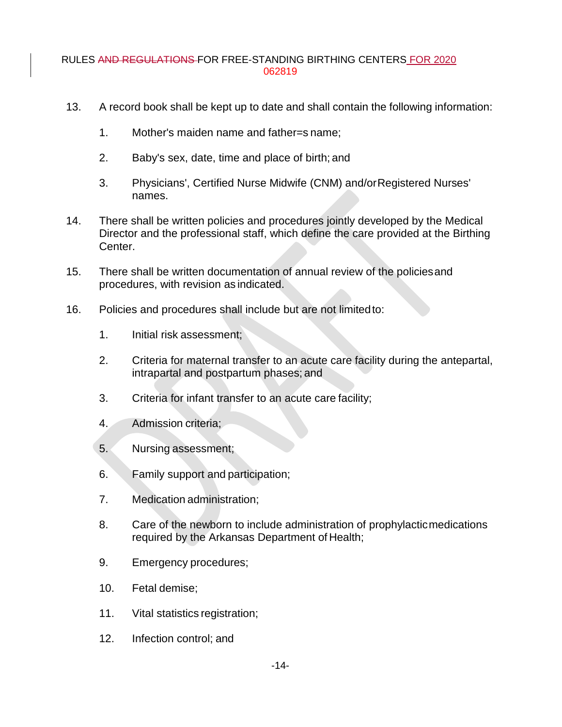#### RULES AND REGULATIONS FOR FREE-STANDING BIRTHING CENTERS FOR 2020 062819

- 13. A record book shall be kept up to date and shall contain the following information:
	- 1. Mother's maiden name and father=s name;
	- 2. Baby's sex, date, time and place of birth; and
	- 3. Physicians', Certified Nurse Midwife (CNM) and/orRegistered Nurses' names.
- 14. There shall be written policies and procedures jointly developed by the Medical Director and the professional staff, which define the care provided at the Birthing Center.
- 15. There shall be written documentation of annual review of the policiesand procedures, with revision as indicated.
- 16. Policies and procedures shall include but are not limitedto:
	- 1. Initial risk assessment;
	- 2. Criteria for maternal transfer to an acute care facility during the antepartal, intrapartal and postpartum phases; and
	- 3. Criteria for infant transfer to an acute care facility;
	- 4. Admission criteria;
	- 5. Nursing assessment;
	- 6. Family support and participation;
	- 7. Medication administration;
	- 8. Care of the newborn to include administration of prophylacticmedications required by the Arkansas Department of Health;
	- 9. Emergency procedures;
	- 10. Fetal demise;
	- 11. Vital statistics registration;
	- 12. Infection control; and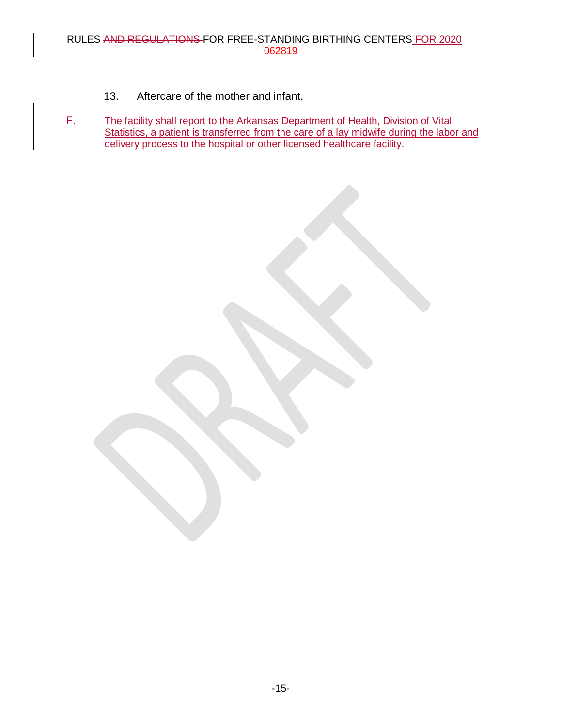- 13. Aftercare of the mother and infant.
- F. The facility shall report to the Arkansas Department of Health, Division of Vital Statistics, a patient is transferred from the care of a lay midwife during the labor and delivery process to the hospital or other licensed healthcare facility.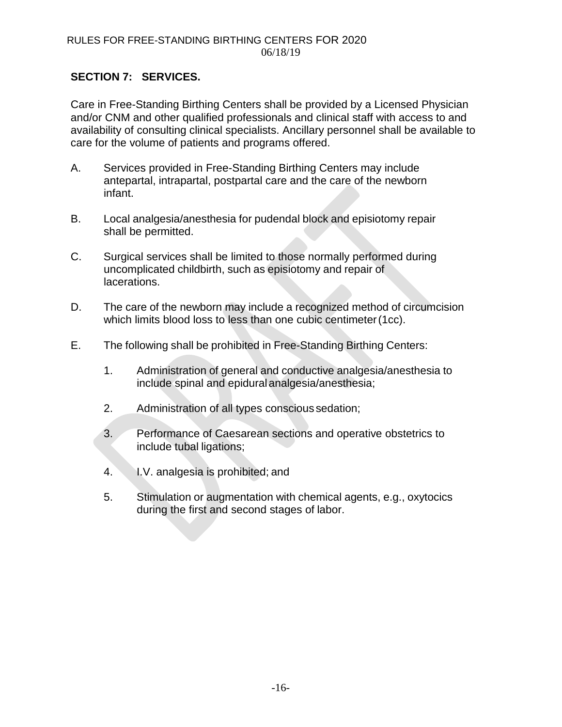# **SECTION 7: SERVICES.**

Care in Free-Standing Birthing Centers shall be provided by a Licensed Physician and/or CNM and other qualified professionals and clinical staff with access to and availability of consulting clinical specialists. Ancillary personnel shall be available to care for the volume of patients and programs offered.

- A. Services provided in Free-Standing Birthing Centers may include antepartal, intrapartal, postpartal care and the care of the newborn infant.
- B. Local analgesia/anesthesia for pudendal block and episiotomy repair shall be permitted.
- C. Surgical services shall be limited to those normally performed during uncomplicated childbirth, such as episiotomy and repair of lacerations.
- D. The care of the newborn may include a recognized method of circumcision which limits blood loss to less than one cubic centimeter(1cc).
- E. The following shall be prohibited in Free-Standing Birthing Centers:
	- 1. Administration of general and conductive analgesia/anesthesia to include spinal and epidural analgesia/anesthesia;
	- 2. Administration of all types conscious sedation;
	- 3. Performance of Caesarean sections and operative obstetrics to include tubal ligations;
	- 4. I.V. analgesia is prohibited; and
	- 5. Stimulation or augmentation with chemical agents, e.g., oxytocics during the first and second stages of labor.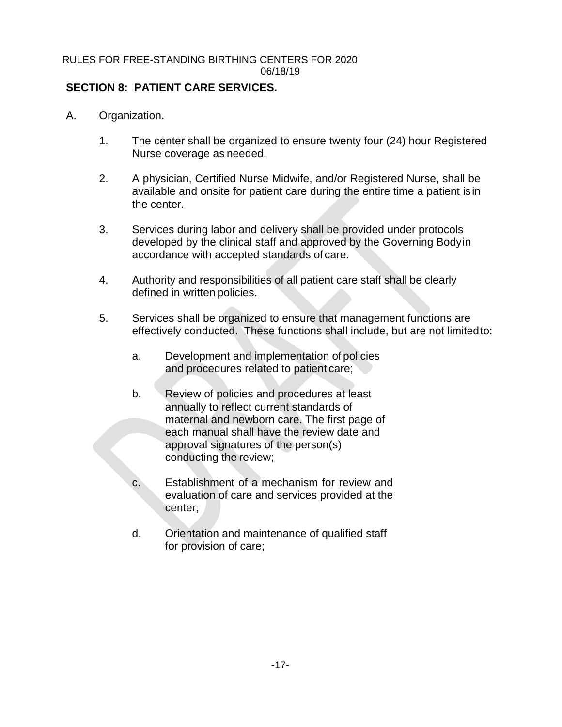# **SECTION 8: PATIENT CARE SERVICES.**

- A. Organization.
	- 1. The center shall be organized to ensure twenty four (24) hour Registered Nurse coverage as needed.
	- 2. A physician, Certified Nurse Midwife, and/or Registered Nurse, shall be available and onsite for patient care during the entire time a patient isin the center.
	- 3. Services during labor and delivery shall be provided under protocols developed by the clinical staff and approved by the Governing Bodyin accordance with accepted standards of care.
	- 4. Authority and responsibilities of all patient care staff shall be clearly defined in written policies.
	- 5. Services shall be organized to ensure that management functions are effectively conducted. These functions shall include, but are not limitedto:
		- a. Development and implementation of policies and procedures related to patient care;
		- b. Review of policies and procedures at least annually to reflect current standards of maternal and newborn care. The first page of each manual shall have the review date and approval signatures of the person(s) conducting the review;
		- c. Establishment of a mechanism for review and evaluation of care and services provided at the center;
		- d. Orientation and maintenance of qualified staff for provision of care;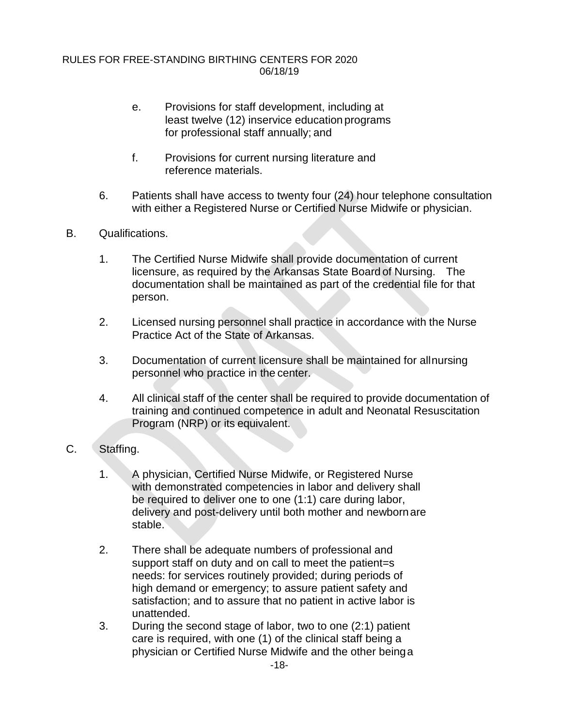- e. Provisions for staff development, including at least twelve (12) inservice education programs for professional staff annually; and
- f. Provisions for current nursing literature and reference materials.
- 6. Patients shall have access to twenty four (24) hour telephone consultation with either a Registered Nurse or Certified Nurse Midwife or physician.
- B. Qualifications.
	- 1. The Certified Nurse Midwife shall provide documentation of current licensure, as required by the Arkansas State Board of Nursing. The documentation shall be maintained as part of the credential file for that person.
	- 2. Licensed nursing personnel shall practice in accordance with the Nurse Practice Act of the State of Arkansas.
	- 3. Documentation of current licensure shall be maintained for allnursing personnel who practice in the center.
	- 4. All clinical staff of the center shall be required to provide documentation of training and continued competence in adult and Neonatal Resuscitation Program (NRP) or its equivalent.
- C. Staffing.
	- 1. A physician, Certified Nurse Midwife, or Registered Nurse with demonstrated competencies in labor and delivery shall be required to deliver one to one (1:1) care during labor, delivery and post-delivery until both mother and newbornare stable.
	- 2. There shall be adequate numbers of professional and support staff on duty and on call to meet the patient=s needs: for services routinely provided; during periods of high demand or emergency; to assure patient safety and satisfaction; and to assure that no patient in active labor is unattended.
	- 3. During the second stage of labor, two to one (2:1) patient care is required, with one (1) of the clinical staff being a physician or Certified Nurse Midwife and the other beinga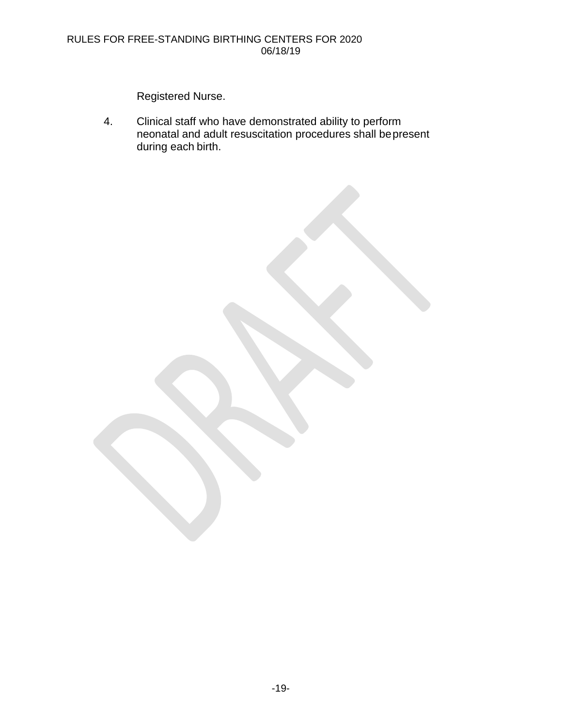Registered Nurse.

4. Clinical staff who have demonstrated ability to perform neonatal and adult resuscitation procedures shall bepresent during each birth.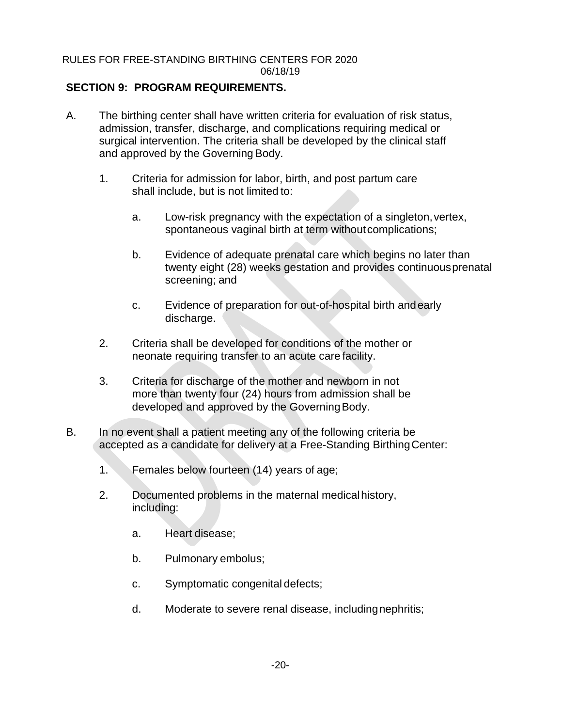# **SECTION 9: PROGRAM REQUIREMENTS.**

- A. The birthing center shall have written criteria for evaluation of risk status, admission, transfer, discharge, and complications requiring medical or surgical intervention. The criteria shall be developed by the clinical staff and approved by the Governing Body.
	- 1. Criteria for admission for labor, birth, and post partum care shall include, but is not limited to:
		- a. Low-risk pregnancy with the expectation of a singleton, vertex, spontaneous vaginal birth at term without complications;
		- b. Evidence of adequate prenatal care which begins no later than twenty eight (28) weeks gestation and provides continuousprenatal screening; and
		- c. Evidence of preparation for out-of-hospital birth andearly discharge.
	- 2. Criteria shall be developed for conditions of the mother or neonate requiring transfer to an acute care facility.
	- 3. Criteria for discharge of the mother and newborn in not more than twenty four (24) hours from admission shall be developed and approved by the Governing Body.
- B. In no event shall a patient meeting any of the following criteria be accepted as a candidate for delivery at a Free-Standing BirthingCenter:
	- 1. Females below fourteen (14) years of age;
	- 2. Documented problems in the maternal medicalhistory, including:
		- a. Heart disease;
		- b. Pulmonary embolus;
		- c. Symptomatic congenital defects;
		- d. Moderate to severe renal disease, includingnephritis;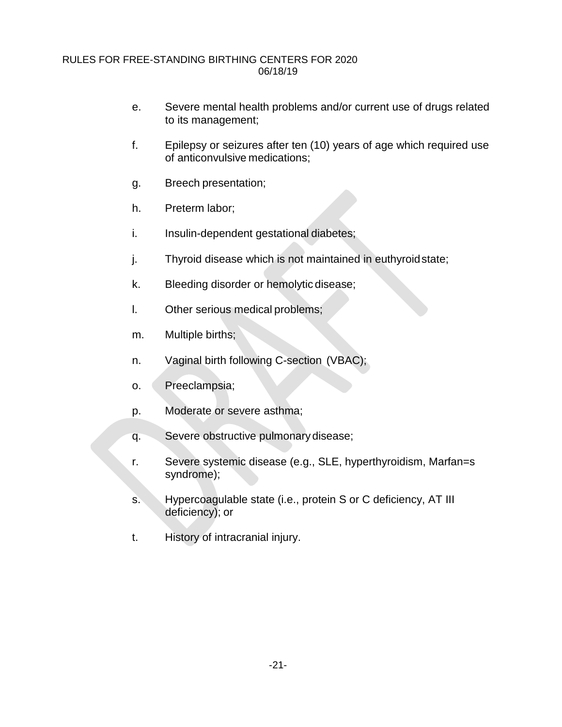- e. Severe mental health problems and/or current use of drugs related to its management;
- f. Epilepsy or seizures after ten (10) years of age which required use of anticonvulsive medications;
- g. Breech presentation;
- h. Preterm labor;
- i. Insulin-dependent gestational diabetes;
- j. Thyroid disease which is not maintained in euthyroidstate;
- k. Bleeding disorder or hemolytic disease;
- l. Other serious medical problems;
- m. Multiple births;
- n. Vaginal birth following C-section (VBAC);
- o. Preeclampsia;
- p. Moderate or severe asthma;
- q. Severe obstructive pulmonary disease;
- r. Severe systemic disease (e.g., SLE, hyperthyroidism, Marfan=s syndrome);
- s. Hypercoagulable state (i.e., protein S or C deficiency, AT III deficiency); or
- t. History of intracranial injury.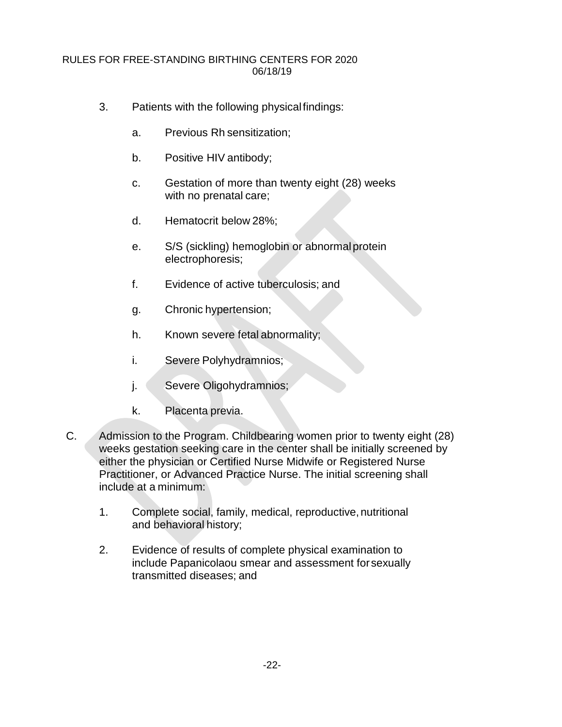- 3. Patients with the following physicalfindings:
	- a. Previous Rh sensitization;
	- b. Positive HIV antibody;
	- c. Gestation of more than twenty eight (28) weeks with no prenatal care;
	- d. Hematocrit below 28%;
	- e. S/S (sickling) hemoglobin or abnormalprotein electrophoresis;
	- f. Evidence of active tuberculosis; and
	- g. Chronic hypertension;
	- h. Known severe fetal abnormality;
	- i. Severe Polyhydramnios;
	- j. Severe Oligohydramnios;
	- k. Placenta previa.
- C. Admission to the Program. Childbearing women prior to twenty eight (28) weeks gestation seeking care in the center shall be initially screened by either the physician or Certified Nurse Midwife or Registered Nurse Practitioner, or Advanced Practice Nurse. The initial screening shall include at a minimum:
	- 1. Complete social, family, medical, reproductive, nutritional and behavioral history;
	- 2. Evidence of results of complete physical examination to include Papanicolaou smear and assessment forsexually transmitted diseases; and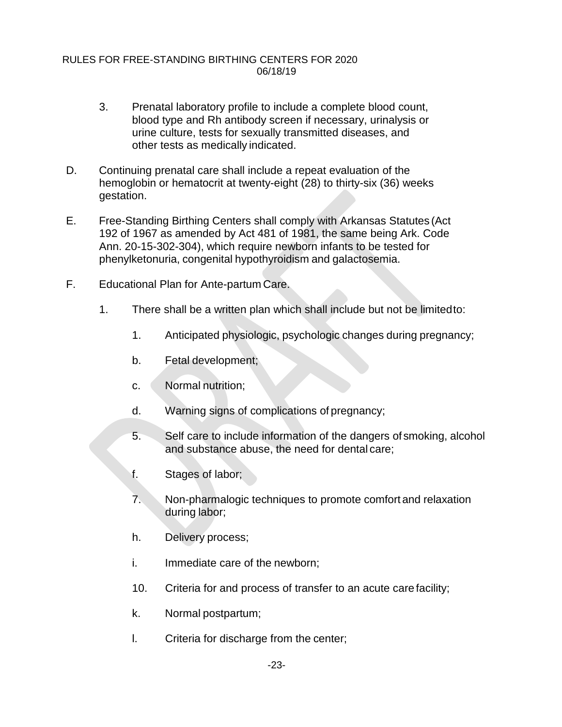- 3. Prenatal laboratory profile to include a complete blood count, blood type and Rh antibody screen if necessary, urinalysis or urine culture, tests for sexually transmitted diseases, and other tests as medically indicated.
- D. Continuing prenatal care shall include a repeat evaluation of the hemoglobin or hematocrit at twenty-eight (28) to thirty-six (36) weeks gestation.
- E. Free-Standing Birthing Centers shall comply with Arkansas Statutes (Act 192 of 1967 as amended by Act 481 of 1981, the same being Ark. Code Ann. 20-15-302-304), which require newborn infants to be tested for phenylketonuria, congenital hypothyroidism and galactosemia.
- F. Educational Plan for Ante-partum Care.
	- 1. There shall be a written plan which shall include but not be limitedto:
		- 1. Anticipated physiologic, psychologic changes during pregnancy;
		- b. Fetal development;
		- c. Normal nutrition;
		- d. Warning signs of complications of pregnancy;
		- 5. Self care to include information of the dangers of smoking, alcohol and substance abuse, the need for dental care;
		- f. Stages of labor;
		- 7. Non-pharmalogic techniques to promote comfort and relaxation during labor;
		- h. Delivery process;
		- i. Immediate care of the newborn;
		- 10. Criteria for and process of transfer to an acute care facility;
		- k. Normal postpartum;
		- l. Criteria for discharge from the center;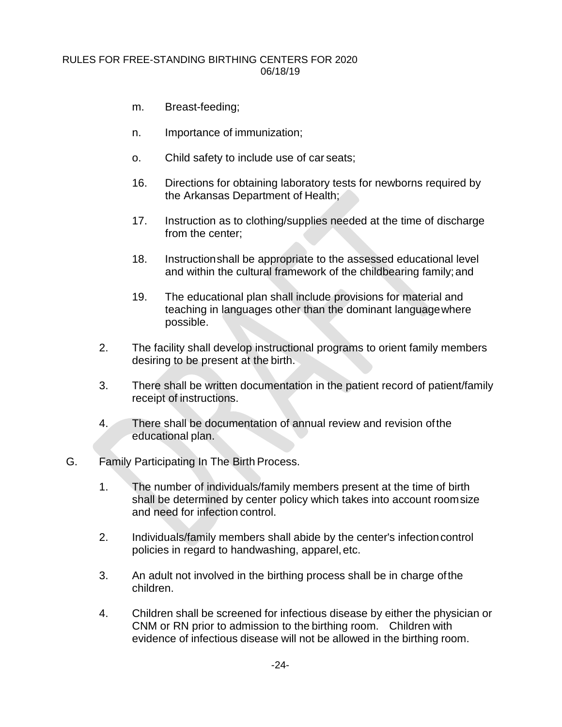- m. Breast-feeding;
- n. Importance of immunization;
- o. Child safety to include use of car seats;
- 16. Directions for obtaining laboratory tests for newborns required by the Arkansas Department of Health;
- 17. Instruction as to clothing/supplies needed at the time of discharge from the center;
- 18. Instructionshall be appropriate to the assessed educational level and within the cultural framework of the childbearing family;and
- 19. The educational plan shall include provisions for material and teaching in languages other than the dominant languagewhere possible.
- 2. The facility shall develop instructional programs to orient family members desiring to be present at the birth.
- 3. There shall be written documentation in the patient record of patient/family receipt of instructions.
- 4. There shall be documentation of annual review and revision ofthe educational plan.
- G. Family Participating In The Birth Process.
	- 1. The number of individuals/family members present at the time of birth shall be determined by center policy which takes into account roomsize and need for infection control.
	- 2. Individuals/family members shall abide by the center's infectioncontrol policies in regard to handwashing, apparel,etc.
	- 3. An adult not involved in the birthing process shall be in charge ofthe children.
	- 4. Children shall be screened for infectious disease by either the physician or CNM or RN prior to admission to the birthing room. Children with evidence of infectious disease will not be allowed in the birthing room.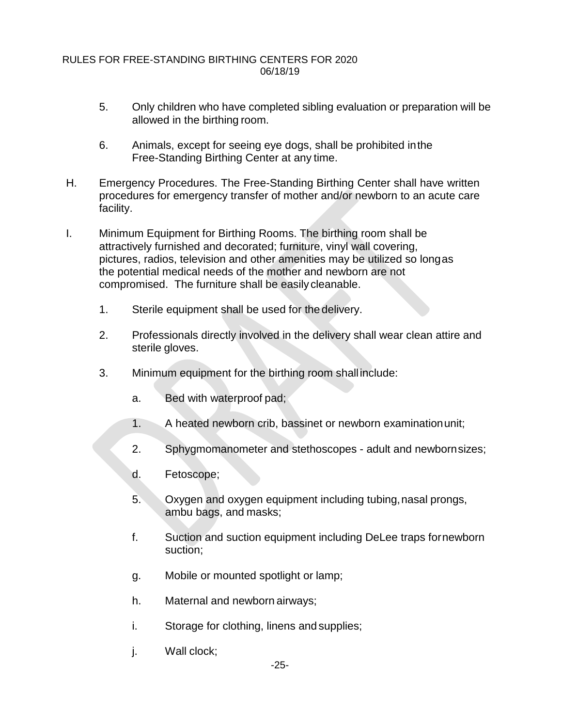- 5. Only children who have completed sibling evaluation or preparation will be allowed in the birthing room.
- 6. Animals, except for seeing eye dogs, shall be prohibited inthe Free-Standing Birthing Center at any time.
- H. Emergency Procedures. The Free-Standing Birthing Center shall have written procedures for emergency transfer of mother and/or newborn to an acute care facility.
- I. Minimum Equipment for Birthing Rooms. The birthing room shall be attractively furnished and decorated; furniture, vinyl wall covering, pictures, radios, television and other amenities may be utilized so longas the potential medical needs of the mother and newborn are not compromised. The furniture shall be easily cleanable.
	- 1. Sterile equipment shall be used for the delivery.
	- 2. Professionals directly involved in the delivery shall wear clean attire and sterile gloves.
	- 3. Minimum equipment for the birthing room shall include:
		- a. Bed with waterproof pad;
		- 1. A heated newborn crib, bassinet or newborn examinationunit;
		- 2. Sphygmomanometer and stethoscopes adult and newbornsizes;
		- d. Fetoscope;
		- 5. Oxygen and oxygen equipment including tubing,nasal prongs, ambu bags, and masks;
		- f. Suction and suction equipment including DeLee traps fornewborn suction;
		- g. Mobile or mounted spotlight or lamp;
		- h. Maternal and newborn airways;
		- i. Storage for clothing, linens and supplies;
		- j. Wall clock;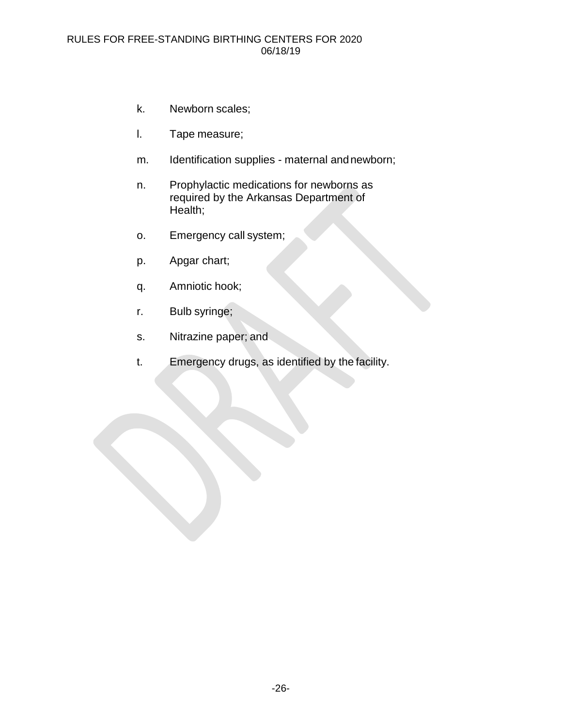- k. Newborn scales;
- l. Tape measure;
- m. Identification supplies maternal andnewborn;
- n. Prophylactic medications for newborns as required by the Arkansas Department of Health;
- o. Emergency call system;
- p. Apgar chart;
- q. Amniotic hook;
- r. Bulb syringe;
- s. Nitrazine paper; and
- t. Emergency drugs, as identified by the facility.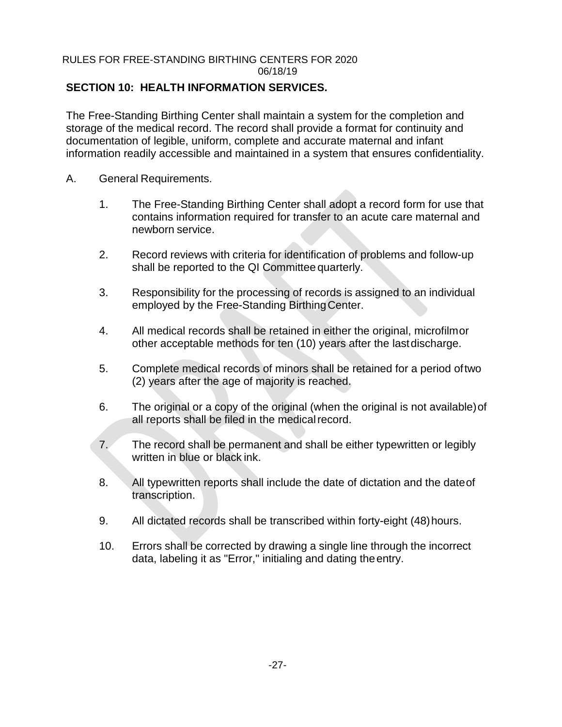# **SECTION 10: HEALTH INFORMATION SERVICES.**

The Free-Standing Birthing Center shall maintain a system for the completion and storage of the medical record. The record shall provide a format for continuity and documentation of legible, uniform, complete and accurate maternal and infant information readily accessible and maintained in a system that ensures confidentiality.

- A. General Requirements.
	- 1. The Free-Standing Birthing Center shall adopt a record form for use that contains information required for transfer to an acute care maternal and newborn service.
	- 2. Record reviews with criteria for identification of problems and follow-up shall be reported to the QI Committee quarterly.
	- 3. Responsibility for the processing of records is assigned to an individual employed by the Free-Standing Birthing Center.
	- 4. All medical records shall be retained in either the original, microfilmor other acceptable methods for ten (10) years after the lastdischarge.
	- 5. Complete medical records of minors shall be retained for a period oftwo (2) years after the age of majority is reached.
	- 6. The original or a copy of the original (when the original is not available)of all reports shall be filed in the medical record.
	- 7. The record shall be permanent and shall be either typewritten or legibly written in blue or black ink.
	- 8. All typewritten reports shall include the date of dictation and the dateof transcription.
	- 9. All dictated records shall be transcribed within forty-eight (48)hours.
	- 10. Errors shall be corrected by drawing a single line through the incorrect data, labeling it as "Error," initialing and dating theentry.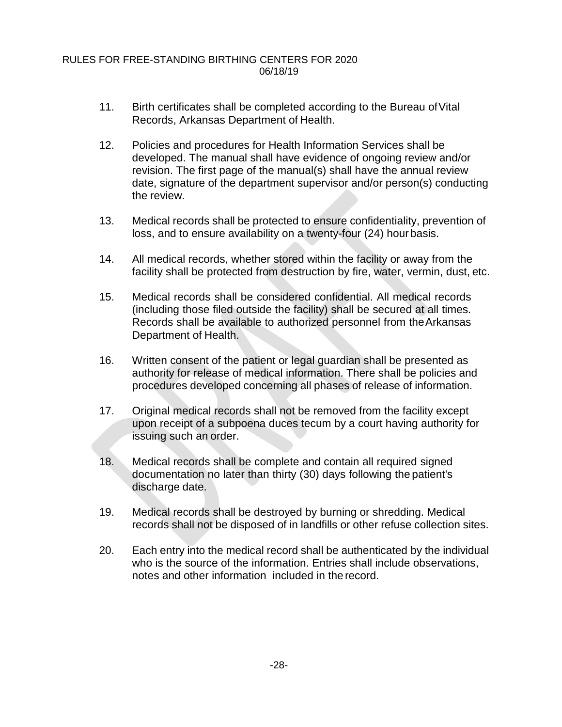- 11. Birth certificates shall be completed according to the Bureau ofVital Records, Arkansas Department of Health.
- 12. Policies and procedures for Health Information Services shall be developed. The manual shall have evidence of ongoing review and/or revision. The first page of the manual(s) shall have the annual review date, signature of the department supervisor and/or person(s) conducting the review.
- 13. Medical records shall be protected to ensure confidentiality, prevention of loss, and to ensure availability on a twenty-four (24) hourbasis.
- 14. All medical records, whether stored within the facility or away from the facility shall be protected from destruction by fire, water, vermin, dust, etc.
- 15. Medical records shall be considered confidential. All medical records (including those filed outside the facility) shall be secured at all times. Records shall be available to authorized personnel from theArkansas Department of Health.
- 16. Written consent of the patient or legal guardian shall be presented as authority for release of medical information. There shall be policies and procedures developed concerning all phases of release of information.
- 17. Original medical records shall not be removed from the facility except upon receipt of a subpoena duces tecum by a court having authority for issuing such an order.
- 18. Medical records shall be complete and contain all required signed documentation no later than thirty (30) days following the patient's discharge date.
- 19. Medical records shall be destroyed by burning or shredding. Medical records shall not be disposed of in landfills or other refuse collection sites.
- 20. Each entry into the medical record shall be authenticated by the individual who is the source of the information. Entries shall include observations, notes and other information included in the record.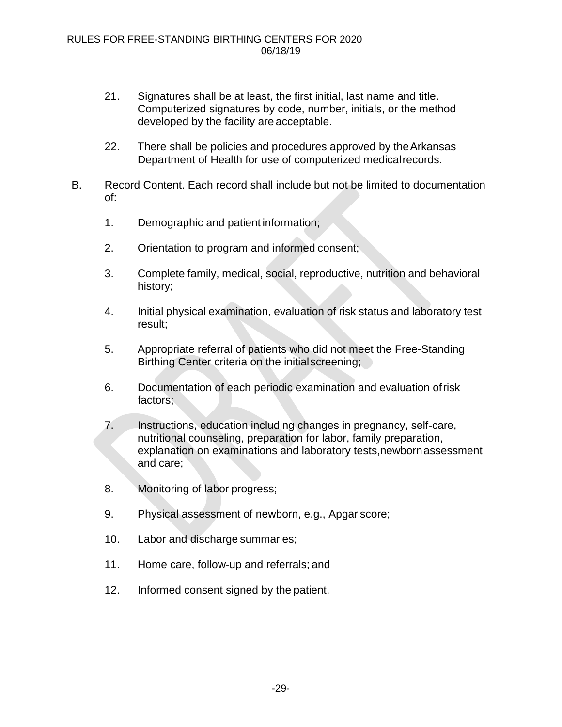- 21. Signatures shall be at least, the first initial, last name and title. Computerized signatures by code, number, initials, or the method developed by the facility are acceptable.
- 22. There shall be policies and procedures approved by theArkansas Department of Health for use of computerized medicalrecords.
- B. Record Content. Each record shall include but not be limited to documentation of:
	- 1. Demographic and patient information;
	- 2. Orientation to program and informed consent;
	- 3. Complete family, medical, social, reproductive, nutrition and behavioral history;
	- 4. Initial physical examination, evaluation of risk status and laboratory test result;
	- 5. Appropriate referral of patients who did not meet the Free-Standing Birthing Center criteria on the initial screening;
	- 6. Documentation of each periodic examination and evaluation ofrisk factors;
	- 7. Instructions, education including changes in pregnancy, self-care, nutritional counseling, preparation for labor, family preparation, explanation on examinations and laboratory tests,newbornassessment and care;
	- 8. Monitoring of labor progress;
	- 9. Physical assessment of newborn, e.g., Apgar score;
	- 10. Labor and discharge summaries;
	- 11. Home care, follow-up and referrals; and
	- 12. Informed consent signed by the patient.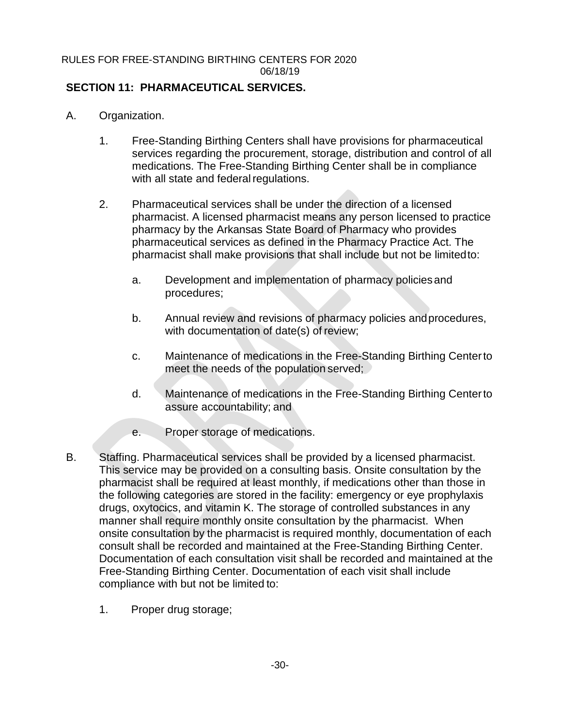# **SECTION 11: PHARMACEUTICAL SERVICES.**

- A. Organization.
	- 1. Free-Standing Birthing Centers shall have provisions for pharmaceutical services regarding the procurement, storage, distribution and control of all medications. The Free-Standing Birthing Center shall be in compliance with all state and federal regulations.
	- 2. Pharmaceutical services shall be under the direction of a licensed pharmacist. A licensed pharmacist means any person licensed to practice pharmacy by the Arkansas State Board of Pharmacy who provides pharmaceutical services as defined in the Pharmacy Practice Act. The pharmacist shall make provisions that shall include but not be limitedto:
		- a. Development and implementation of pharmacy policiesand procedures;
		- b. Annual review and revisions of pharmacy policies andprocedures, with documentation of date(s) of review;
		- c. Maintenance of medications in the Free-Standing Birthing Centerto meet the needs of the population served;
		- d. Maintenance of medications in the Free-Standing Birthing Centerto assure accountability; and
		- e. Proper storage of medications.
- B. Staffing. Pharmaceutical services shall be provided by a licensed pharmacist. This service may be provided on a consulting basis. Onsite consultation by the pharmacist shall be required at least monthly, if medications other than those in the following categories are stored in the facility: emergency or eye prophylaxis drugs, oxytocics, and vitamin K. The storage of controlled substances in any manner shall require monthly onsite consultation by the pharmacist. When onsite consultation by the pharmacist is required monthly, documentation of each consult shall be recorded and maintained at the Free-Standing Birthing Center. Documentation of each consultation visit shall be recorded and maintained at the Free-Standing Birthing Center. Documentation of each visit shall include compliance with but not be limited to:
	- 1. Proper drug storage;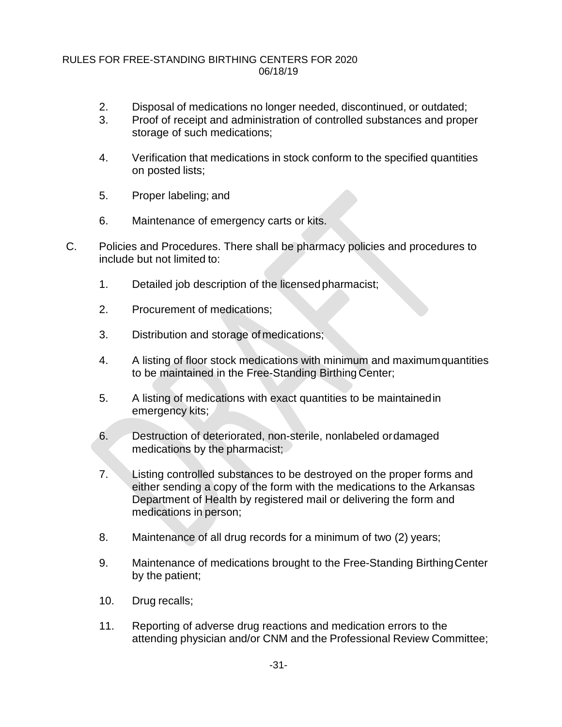- 2. Disposal of medications no longer needed, discontinued, or outdated;
- 3. Proof of receipt and administration of controlled substances and proper storage of such medications;
- 4. Verification that medications in stock conform to the specified quantities on posted lists;
- 5. Proper labeling; and
- 6. Maintenance of emergency carts or kits.
- C. Policies and Procedures. There shall be pharmacy policies and procedures to include but not limited to:
	- 1. Detailed job description of the licensedpharmacist;
	- 2. Procurement of medications;
	- 3. Distribution and storage of medications;
	- 4. A listing of floor stock medications with minimum and maximumquantities to be maintained in the Free-Standing Birthing Center;
	- 5. A listing of medications with exact quantities to be maintainedin emergency kits;
	- 6. Destruction of deteriorated, non-sterile, nonlabeled ordamaged medications by the pharmacist;
	- 7. Listing controlled substances to be destroyed on the proper forms and either sending a copy of the form with the medications to the Arkansas Department of Health by registered mail or delivering the form and medications in person;
	- 8. Maintenance of all drug records for a minimum of two (2) years;
	- 9. Maintenance of medications brought to the Free-Standing BirthingCenter by the patient;
	- 10. Drug recalls;
	- 11. Reporting of adverse drug reactions and medication errors to the attending physician and/or CNM and the Professional Review Committee;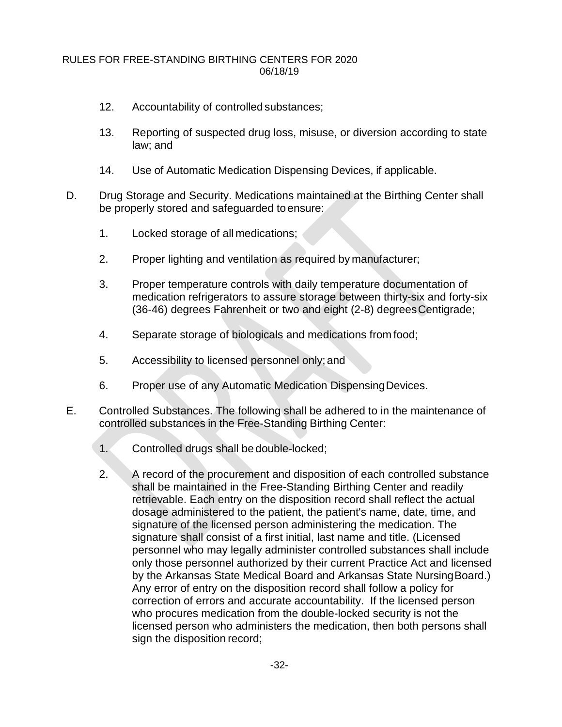- 12. Accountability of controlled substances;
- 13. Reporting of suspected drug loss, misuse, or diversion according to state law; and
- 14. Use of Automatic Medication Dispensing Devices, if applicable.
- D. Drug Storage and Security. Medications maintained at the Birthing Center shall be properly stored and safeguarded to ensure:
	- 1. Locked storage of all medications;
	- 2. Proper lighting and ventilation as required by manufacturer;
	- 3. Proper temperature controls with daily temperature documentation of medication refrigerators to assure storage between thirty-six and forty-six (36-46) degrees Fahrenheit or two and eight (2-8) degreesCentigrade;
	- 4. Separate storage of biologicals and medications from food;
	- 5. Accessibility to licensed personnel only; and
	- 6. Proper use of any Automatic Medication DispensingDevices.
- E. Controlled Substances. The following shall be adhered to in the maintenance of controlled substances in the Free-Standing Birthing Center:
	- 1. Controlled drugs shall be double-locked;
	- 2. A record of the procurement and disposition of each controlled substance shall be maintained in the Free-Standing Birthing Center and readily retrievable. Each entry on the disposition record shall reflect the actual dosage administered to the patient, the patient's name, date, time, and signature of the licensed person administering the medication. The signature shall consist of a first initial, last name and title. (Licensed personnel who may legally administer controlled substances shall include only those personnel authorized by their current Practice Act and licensed by the Arkansas State Medical Board and Arkansas State NursingBoard.) Any error of entry on the disposition record shall follow a policy for correction of errors and accurate accountability. If the licensed person who procures medication from the double-locked security is not the licensed person who administers the medication, then both persons shall sign the disposition record;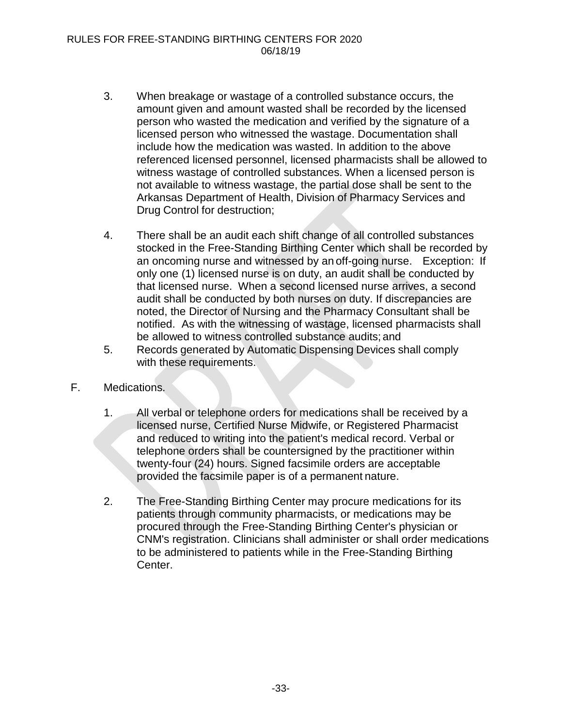- 3. When breakage or wastage of a controlled substance occurs, the amount given and amount wasted shall be recorded by the licensed person who wasted the medication and verified by the signature of a licensed person who witnessed the wastage. Documentation shall include how the medication was wasted. In addition to the above referenced licensed personnel, licensed pharmacists shall be allowed to witness wastage of controlled substances. When a licensed person is not available to witness wastage, the partial dose shall be sent to the Arkansas Department of Health, Division of Pharmacy Services and Drug Control for destruction;
- 4. There shall be an audit each shift change of all controlled substances stocked in the Free-Standing Birthing Center which shall be recorded by an oncoming nurse and witnessed by an off-going nurse. Exception: If only one (1) licensed nurse is on duty, an audit shall be conducted by that licensed nurse. When a second licensed nurse arrives, a second audit shall be conducted by both nurses on duty. If discrepancies are noted, the Director of Nursing and the Pharmacy Consultant shall be notified. As with the witnessing of wastage, licensed pharmacists shall be allowed to witness controlled substance audits; and
- 5. Records generated by Automatic Dispensing Devices shall comply with these requirements.
- F. Medications.
	- 1. All verbal or telephone orders for medications shall be received by a licensed nurse, Certified Nurse Midwife, or Registered Pharmacist and reduced to writing into the patient's medical record. Verbal or telephone orders shall be countersigned by the practitioner within twenty-four (24) hours. Signed facsimile orders are acceptable provided the facsimile paper is of a permanent nature.
	- 2. The Free-Standing Birthing Center may procure medications for its patients through community pharmacists, or medications may be procured through the Free-Standing Birthing Center's physician or CNM's registration. Clinicians shall administer or shall order medications to be administered to patients while in the Free-Standing Birthing Center.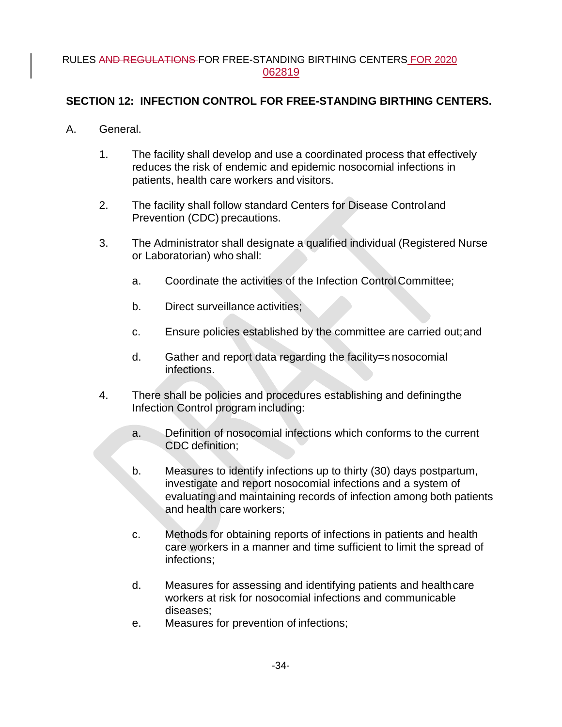## **SECTION 12: INFECTION CONTROL FOR FREE-STANDING BIRTHING CENTERS.**

- A. General.
	- 1. The facility shall develop and use a coordinated process that effectively reduces the risk of endemic and epidemic nosocomial infections in patients, health care workers and visitors.
	- 2. The facility shall follow standard Centers for Disease Controland Prevention (CDC) precautions.
	- 3. The Administrator shall designate a qualified individual (Registered Nurse or Laboratorian) who shall:
		- a. Coordinate the activities of the Infection ControlCommittee;
		- b. Direct surveillance activities;
		- c. Ensure policies established by the committee are carried out;and
		- d. Gather and report data regarding the facility=s nosocomial infections.
	- 4. There shall be policies and procedures establishing and definingthe Infection Control program including:
		- a. Definition of nosocomial infections which conforms to the current CDC definition;
		- b. Measures to identify infections up to thirty (30) days postpartum, investigate and report nosocomial infections and a system of evaluating and maintaining records of infection among both patients and health care workers;
		- c. Methods for obtaining reports of infections in patients and health care workers in a manner and time sufficient to limit the spread of infections;
		- d. Measures for assessing and identifying patients and healthcare workers at risk for nosocomial infections and communicable diseases;
		- e. Measures for prevention of infections;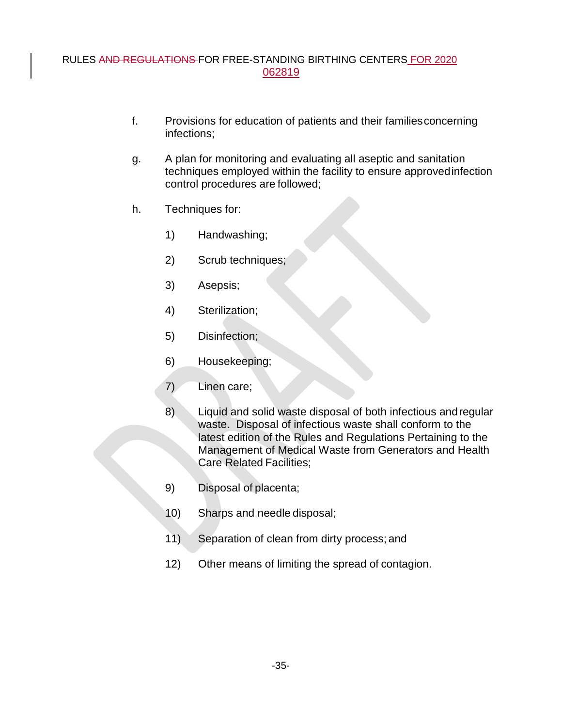- f. Provisions for education of patients and their familiesconcerning infections;
- g. A plan for monitoring and evaluating all aseptic and sanitation techniques employed within the facility to ensure approvedinfection control procedures are followed;
- h. Techniques for:
	- 1) Handwashing;
	- 2) Scrub techniques;
	- 3) Asepsis;
	- 4) Sterilization;
	- 5) Disinfection;
	- 6) Housekeeping;
	- 7) Linen care;
	- 8) Liquid and solid waste disposal of both infectious andregular waste. Disposal of infectious waste shall conform to the latest edition of the Rules and Regulations Pertaining to the Management of Medical Waste from Generators and Health Care Related Facilities;
	- 9) Disposal of placenta;
	- 10) Sharps and needle disposal;
	- 11) Separation of clean from dirty process; and
	- 12) Other means of limiting the spread of contagion.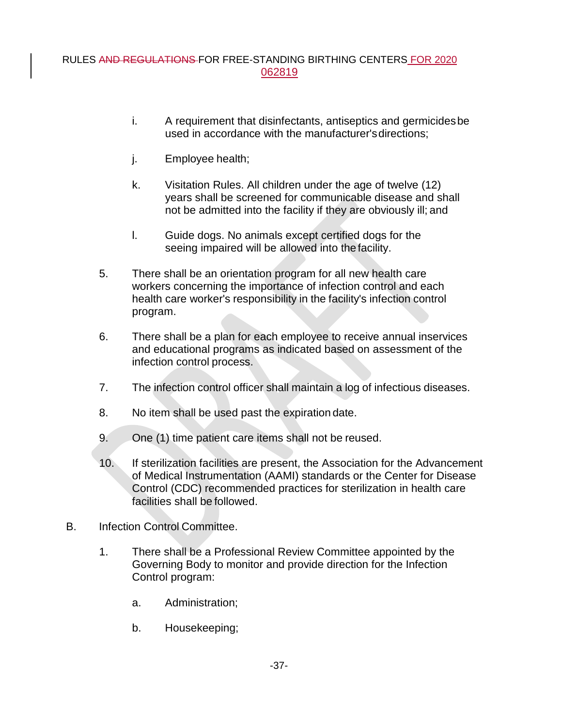- i. A requirement that disinfectants, antiseptics and germicidesbe used in accordance with the manufacturer'sdirections;
- j. Employee health;
- k. Visitation Rules. All children under the age of twelve (12) years shall be screened for communicable disease and shall not be admitted into the facility if they are obviously ill; and
- l. Guide dogs. No animals except certified dogs for the seeing impaired will be allowed into the facility.
- 5. There shall be an orientation program for all new health care workers concerning the importance of infection control and each health care worker's responsibility in the facility's infection control program.
- 6. There shall be a plan for each employee to receive annual inservices and educational programs as indicated based on assessment of the infection control process.
- 7. The infection control officer shall maintain a log of infectious diseases.
- 8. No item shall be used past the expiration date.
- 9. One (1) time patient care items shall not be reused.
- 10. If sterilization facilities are present, the Association for the Advancement of Medical Instrumentation (AAMI) standards or the Center for Disease Control (CDC) recommended practices for sterilization in health care facilities shall be followed.
- B. Infection Control Committee.
	- 1. There shall be a Professional Review Committee appointed by the Governing Body to monitor and provide direction for the Infection Control program:
		- a. Administration;
		- b. Housekeeping;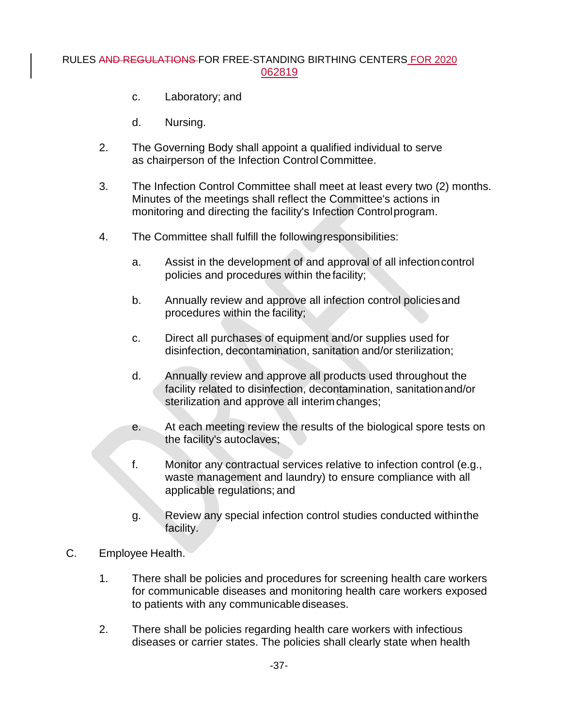- c. Laboratory; and
- d. Nursing.
- 2. The Governing Body shall appoint a qualified individual to serve as chairperson of the Infection Control Committee.
- 3. The Infection Control Committee shall meet at least every two (2) months. Minutes of the meetings shall reflect the Committee's actions in monitoring and directing the facility's Infection Controlprogram.
- 4. The Committee shall fulfill the followingresponsibilities:
	- a. Assist in the development of and approval of all infectioncontrol policies and procedures within thefacility;
	- b. Annually review and approve all infection control policiesand procedures within the facility;
	- c. Direct all purchases of equipment and/or supplies used for disinfection, decontamination, sanitation and/or sterilization;
	- d. Annually review and approve all products used throughout the facility related to disinfection, decontamination, sanitationand/or sterilization and approve all interimchanges;
	- e. At each meeting review the results of the biological spore tests on the facility's autoclaves;
	- f. Monitor any contractual services relative to infection control (e.g., waste management and laundry) to ensure compliance with all applicable regulations; and
	- g. Review any special infection control studies conducted withinthe facility.
- C. Employee Health.
	- 1. There shall be policies and procedures for screening health care workers for communicable diseases and monitoring health care workers exposed to patients with any communicable diseases.
	- 2. There shall be policies regarding health care workers with infectious diseases or carrier states. The policies shall clearly state when health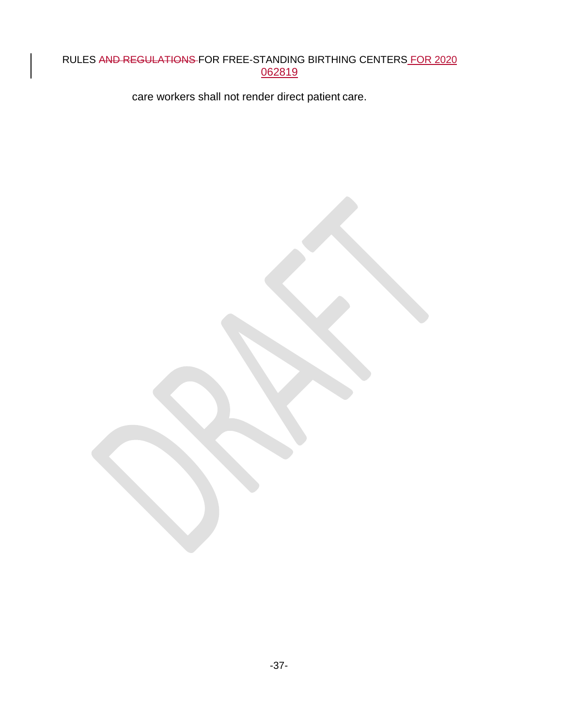care workers shall not render direct patient care.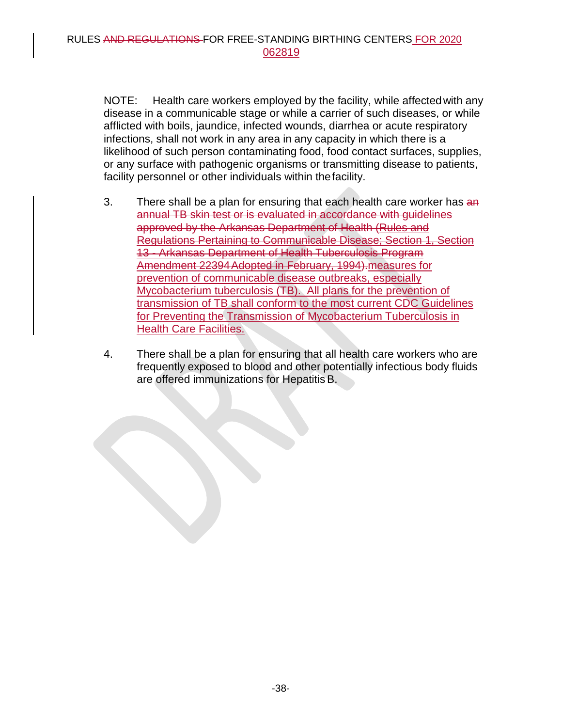NOTE: Health care workers employed by the facility, while affected with any disease in a communicable stage or while a carrier of such diseases, or while afflicted with boils, jaundice, infected wounds, diarrhea or acute respiratory infections, shall not work in any area in any capacity in which there is a likelihood of such person contaminating food, food contact surfaces, supplies, or any surface with pathogenic organisms or transmitting disease to patients, facility personnel or other individuals within thefacility.

- 3. There shall be a plan for ensuring that each health care worker has an annual TB skin test or is evaluated in accordance with guidelines approved by the Arkansas Department of Health (Rules and Regulations Pertaining to Communicable Disease; Section 1, Section 13 - Arkansas Department of Health Tuberculosis Program Amendment 22394Adopted in February, 1994).measures for prevention of communicable disease outbreaks, especially Mycobacterium tuberculosis (TB). All plans for the prevention of transmission of TB shall conform to the most current CDC Guidelines for Preventing the Transmission of Mycobacterium Tuberculosis in Health Care Facilities.
- 4. There shall be a plan for ensuring that all health care workers who are frequently exposed to blood and other potentially infectious body fluids are offered immunizations for Hepatitis B.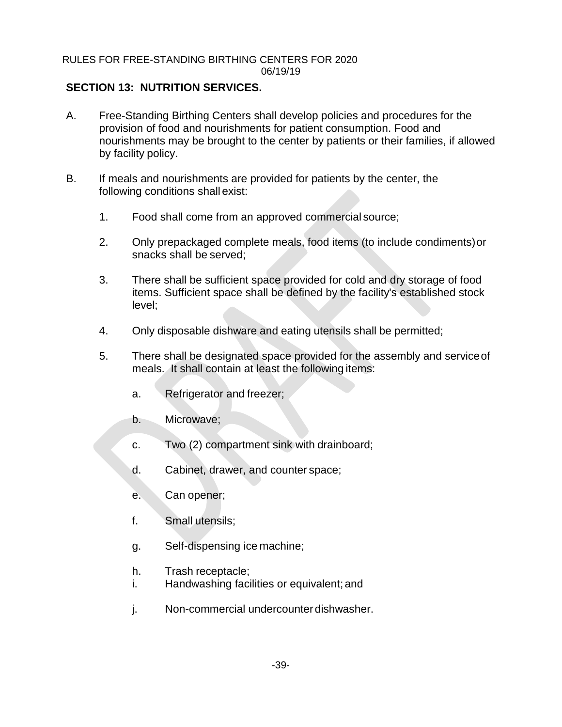## **SECTION 13: NUTRITION SERVICES.**

- A. Free-Standing Birthing Centers shall develop policies and procedures for the provision of food and nourishments for patient consumption. Food and nourishments may be brought to the center by patients or their families, if allowed by facility policy.
- B. If meals and nourishments are provided for patients by the center, the following conditions shall exist:
	- 1. Food shall come from an approved commercial source;
	- 2. Only prepackaged complete meals, food items (to include condiments)or snacks shall be served;
	- 3. There shall be sufficient space provided for cold and dry storage of food items. Sufficient space shall be defined by the facility's established stock level;
	- 4. Only disposable dishware and eating utensils shall be permitted;
	- 5. There shall be designated space provided for the assembly and serviceof meals. It shall contain at least the following items:
		- a. Refrigerator and freezer;
		- b. Microwave;
		- c. Two (2) compartment sink with drainboard;
		- d. Cabinet, drawer, and counter space;
		- e. Can opener;
		- f. Small utensils;
		- g. Self-dispensing ice machine;
		- h. Trash receptacle;
		- i. Handwashing facilities or equivalent; and
		- j. Non-commercial undercounterdishwasher.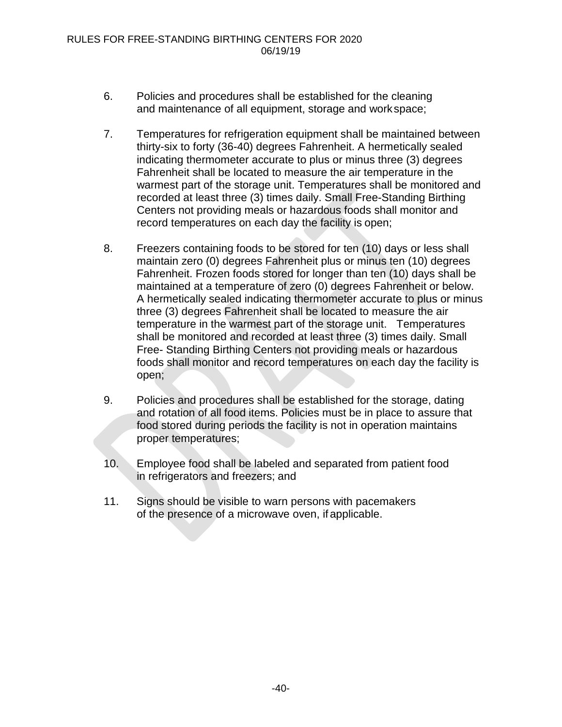- 6. Policies and procedures shall be established for the cleaning and maintenance of all equipment, storage and workspace;
- 7. Temperatures for refrigeration equipment shall be maintained between thirty-six to forty (36-40) degrees Fahrenheit. A hermetically sealed indicating thermometer accurate to plus or minus three (3) degrees Fahrenheit shall be located to measure the air temperature in the warmest part of the storage unit. Temperatures shall be monitored and recorded at least three (3) times daily. Small Free-Standing Birthing Centers not providing meals or hazardous foods shall monitor and record temperatures on each day the facility is open;
- 8. Freezers containing foods to be stored for ten (10) days or less shall maintain zero (0) degrees Fahrenheit plus or minus ten (10) degrees Fahrenheit. Frozen foods stored for longer than ten (10) days shall be maintained at a temperature of zero (0) degrees Fahrenheit or below. A hermetically sealed indicating thermometer accurate to plus or minus three (3) degrees Fahrenheit shall be located to measure the air temperature in the warmest part of the storage unit. Temperatures shall be monitored and recorded at least three (3) times daily. Small Free- Standing Birthing Centers not providing meals or hazardous foods shall monitor and record temperatures on each day the facility is open;
- 9. Policies and procedures shall be established for the storage, dating and rotation of all food items. Policies must be in place to assure that food stored during periods the facility is not in operation maintains proper temperatures;
- 10. Employee food shall be labeled and separated from patient food in refrigerators and freezers; and
- 11. Signs should be visible to warn persons with pacemakers of the presence of a microwave oven, if applicable.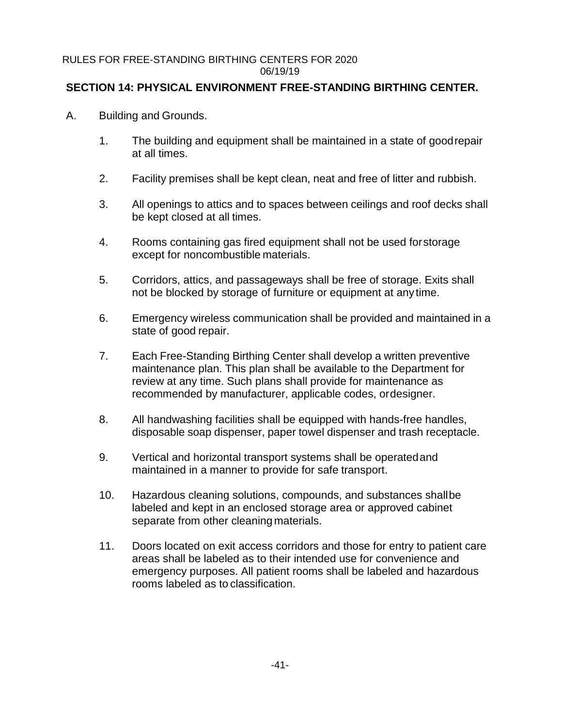## **SECTION 14: PHYSICAL ENVIRONMENT FREE-STANDING BIRTHING CENTER.**

- A. Building and Grounds.
	- 1. The building and equipment shall be maintained in a state of goodrepair at all times.
	- 2. Facility premises shall be kept clean, neat and free of litter and rubbish.
	- 3. All openings to attics and to spaces between ceilings and roof decks shall be kept closed at all times.
	- 4. Rooms containing gas fired equipment shall not be used forstorage except for noncombustible materials.
	- 5. Corridors, attics, and passageways shall be free of storage. Exits shall not be blocked by storage of furniture or equipment at any time.
	- 6. Emergency wireless communication shall be provided and maintained in a state of good repair.
	- 7. Each Free-Standing Birthing Center shall develop a written preventive maintenance plan. This plan shall be available to the Department for review at any time. Such plans shall provide for maintenance as recommended by manufacturer, applicable codes, ordesigner.
	- 8. All handwashing facilities shall be equipped with hands-free handles, disposable soap dispenser, paper towel dispenser and trash receptacle.
	- 9. Vertical and horizontal transport systems shall be operatedand maintained in a manner to provide for safe transport.
	- 10. Hazardous cleaning solutions, compounds, and substances shallbe labeled and kept in an enclosed storage area or approved cabinet separate from other cleaning materials.
	- 11. Doors located on exit access corridors and those for entry to patient care areas shall be labeled as to their intended use for convenience and emergency purposes. All patient rooms shall be labeled and hazardous rooms labeled as to classification.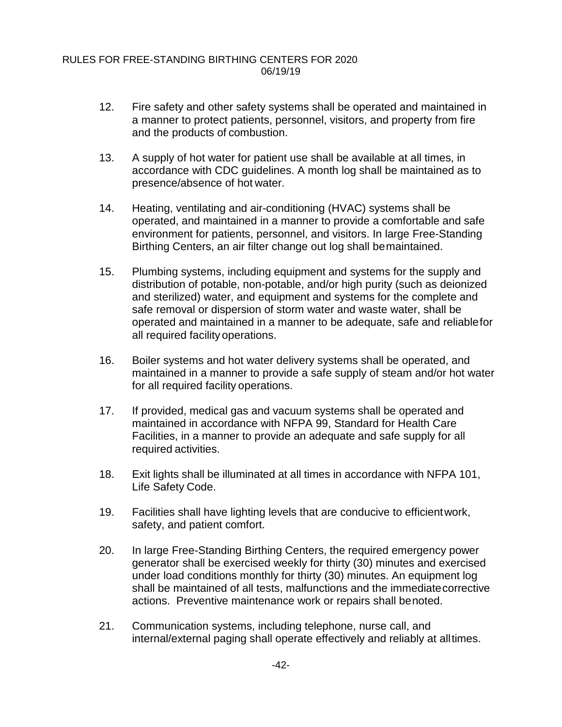- 12. Fire safety and other safety systems shall be operated and maintained in a manner to protect patients, personnel, visitors, and property from fire and the products of combustion.
- 13. A supply of hot water for patient use shall be available at all times, in accordance with CDC guidelines. A month log shall be maintained as to presence/absence of hot water.
- 14. Heating, ventilating and air-conditioning (HVAC) systems shall be operated, and maintained in a manner to provide a comfortable and safe environment for patients, personnel, and visitors. In large Free-Standing Birthing Centers, an air filter change out log shall bemaintained.
- 15. Plumbing systems, including equipment and systems for the supply and distribution of potable, non-potable, and/or high purity (such as deionized and sterilized) water, and equipment and systems for the complete and safe removal or dispersion of storm water and waste water, shall be operated and maintained in a manner to be adequate, safe and reliablefor all required facility operations.
- 16. Boiler systems and hot water delivery systems shall be operated, and maintained in a manner to provide a safe supply of steam and/or hot water for all required facility operations.
- 17. If provided, medical gas and vacuum systems shall be operated and maintained in accordance with NFPA 99, Standard for Health Care Facilities, in a manner to provide an adequate and safe supply for all required activities.
- 18. Exit lights shall be illuminated at all times in accordance with NFPA 101, Life Safety Code.
- 19. Facilities shall have lighting levels that are conducive to efficientwork, safety, and patient comfort.
- 20. In large Free-Standing Birthing Centers, the required emergency power generator shall be exercised weekly for thirty (30) minutes and exercised under load conditions monthly for thirty (30) minutes. An equipment log shall be maintained of all tests, malfunctions and the immediatecorrective actions. Preventive maintenance work or repairs shall benoted.
- 21. Communication systems, including telephone, nurse call, and internal/external paging shall operate effectively and reliably at alltimes.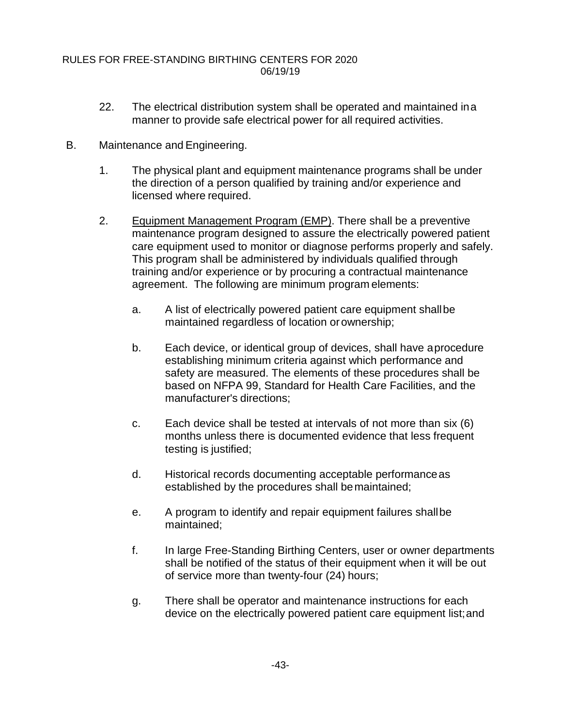- 22. The electrical distribution system shall be operated and maintained ina manner to provide safe electrical power for all required activities.
- B. Maintenance and Engineering.
	- 1. The physical plant and equipment maintenance programs shall be under the direction of a person qualified by training and/or experience and licensed where required.
	- 2. Equipment Management Program (EMP). There shall be a preventive maintenance program designed to assure the electrically powered patient care equipment used to monitor or diagnose performs properly and safely. This program shall be administered by individuals qualified through training and/or experience or by procuring a contractual maintenance agreement. The following are minimum program elements:
		- a. A list of electrically powered patient care equipment shallbe maintained regardless of location orownership;
		- b. Each device, or identical group of devices, shall have aprocedure establishing minimum criteria against which performance and safety are measured. The elements of these procedures shall be based on NFPA 99, Standard for Health Care Facilities, and the manufacturer's directions;
		- c. Each device shall be tested at intervals of not more than six (6) months unless there is documented evidence that less frequent testing is justified;
		- d. Historical records documenting acceptable performanceas established by the procedures shall bemaintained;
		- e. A program to identify and repair equipment failures shallbe maintained;
		- f. In large Free-Standing Birthing Centers, user or owner departments shall be notified of the status of their equipment when it will be out of service more than twenty-four (24) hours;
		- g. There shall be operator and maintenance instructions for each device on the electrically powered patient care equipment list;and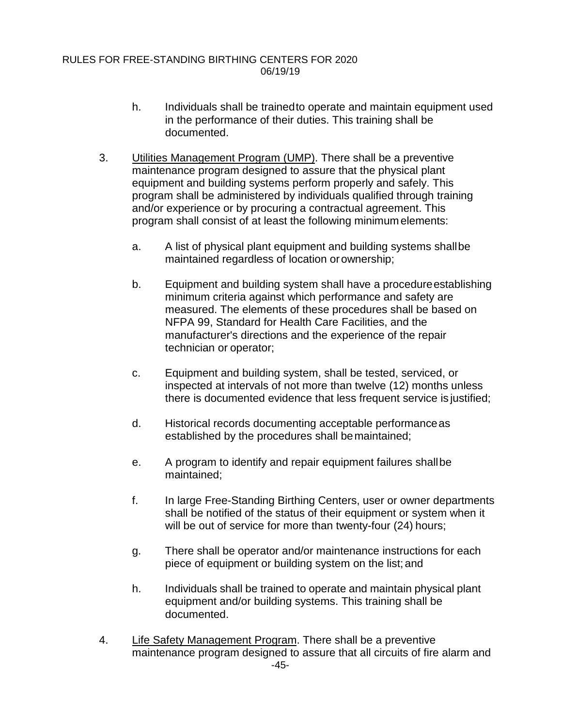- h. Individuals shall be trainedto operate and maintain equipment used in the performance of their duties. This training shall be documented.
- 3. Utilities Management Program (UMP). There shall be a preventive maintenance program designed to assure that the physical plant equipment and building systems perform properly and safely. This program shall be administered by individuals qualified through training and/or experience or by procuring a contractual agreement. This program shall consist of at least the following minimum elements:
	- a. A list of physical plant equipment and building systems shallbe maintained regardless of location or ownership;
	- b. Equipment and building system shall have a procedureestablishing minimum criteria against which performance and safety are measured. The elements of these procedures shall be based on NFPA 99, Standard for Health Care Facilities, and the manufacturer's directions and the experience of the repair technician or operator;
	- c. Equipment and building system, shall be tested, serviced, or inspected at intervals of not more than twelve (12) months unless there is documented evidence that less frequent service is justified;
	- d. Historical records documenting acceptable performanceas established by the procedures shall bemaintained;
	- e. A program to identify and repair equipment failures shallbe maintained;
	- f. In large Free-Standing Birthing Centers, user or owner departments shall be notified of the status of their equipment or system when it will be out of service for more than twenty-four (24) hours;
	- g. There shall be operator and/or maintenance instructions for each piece of equipment or building system on the list; and
	- h. Individuals shall be trained to operate and maintain physical plant equipment and/or building systems. This training shall be documented.
- 4. Life Safety Management Program. There shall be a preventive maintenance program designed to assure that all circuits of fire alarm and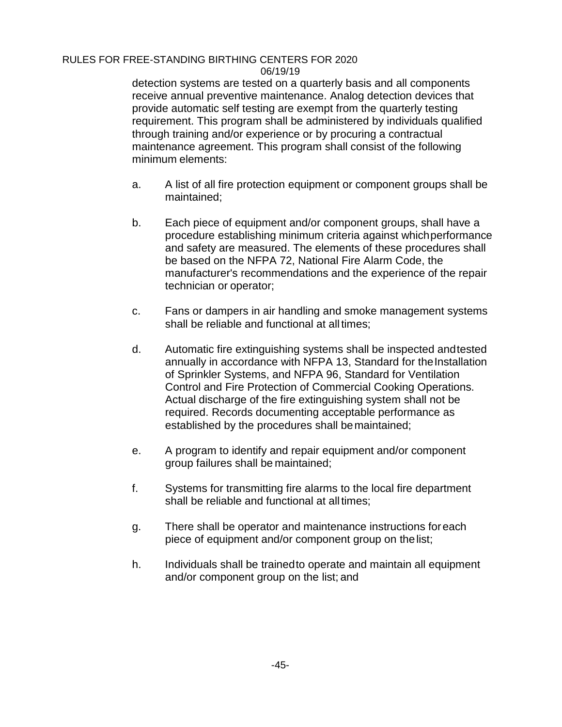detection systems are tested on a quarterly basis and all components receive annual preventive maintenance. Analog detection devices that provide automatic self testing are exempt from the quarterly testing requirement. This program shall be administered by individuals qualified through training and/or experience or by procuring a contractual maintenance agreement. This program shall consist of the following minimum elements:

- a. A list of all fire protection equipment or component groups shall be maintained;
- b. Each piece of equipment and/or component groups, shall have a procedure establishing minimum criteria against whichperformance and safety are measured. The elements of these procedures shall be based on the NFPA 72, National Fire Alarm Code, the manufacturer's recommendations and the experience of the repair technician or operator;
- c. Fans or dampers in air handling and smoke management systems shall be reliable and functional at alltimes;
- d. Automatic fire extinguishing systems shall be inspected andtested annually in accordance with NFPA 13, Standard for the Installation of Sprinkler Systems, and NFPA 96, Standard for Ventilation Control and Fire Protection of Commercial Cooking Operations. Actual discharge of the fire extinguishing system shall not be required. Records documenting acceptable performance as established by the procedures shall bemaintained;
- e. A program to identify and repair equipment and/or component group failures shall be maintained;
- f. Systems for transmitting fire alarms to the local fire department shall be reliable and functional at alltimes;
- g. There shall be operator and maintenance instructions foreach piece of equipment and/or component group on thelist;
- h. Individuals shall be trainedto operate and maintain all equipment and/or component group on the list; and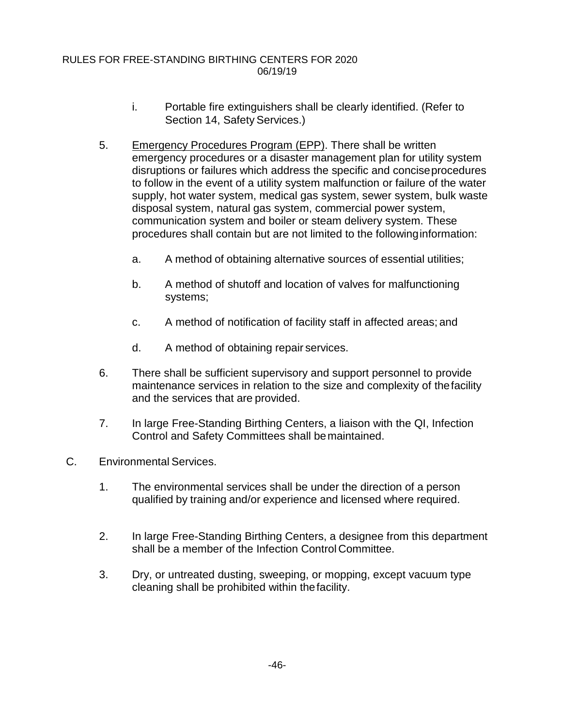- i. Portable fire extinguishers shall be clearly identified. (Refer to Section 14, Safety Services.)
- 5. Emergency Procedures Program (EPP). There shall be written emergency procedures or a disaster management plan for utility system disruptions or failures which address the specific and conciseprocedures to follow in the event of a utility system malfunction or failure of the water supply, hot water system, medical gas system, sewer system, bulk waste disposal system, natural gas system, commercial power system, communication system and boiler or steam delivery system. These procedures shall contain but are not limited to the followinginformation:
	- a. A method of obtaining alternative sources of essential utilities;
	- b. A method of shutoff and location of valves for malfunctioning systems;
	- c. A method of notification of facility staff in affected areas; and
	- d. A method of obtaining repair services.
- 6. There shall be sufficient supervisory and support personnel to provide maintenance services in relation to the size and complexity of thefacility and the services that are provided.
- 7. In large Free-Standing Birthing Centers, a liaison with the QI, Infection Control and Safety Committees shall bemaintained.
- C. Environmental Services.
	- 1. The environmental services shall be under the direction of a person qualified by training and/or experience and licensed where required.
	- 2. In large Free-Standing Birthing Centers, a designee from this department shall be a member of the Infection Control Committee.
	- 3. Dry, or untreated dusting, sweeping, or mopping, except vacuum type cleaning shall be prohibited within thefacility.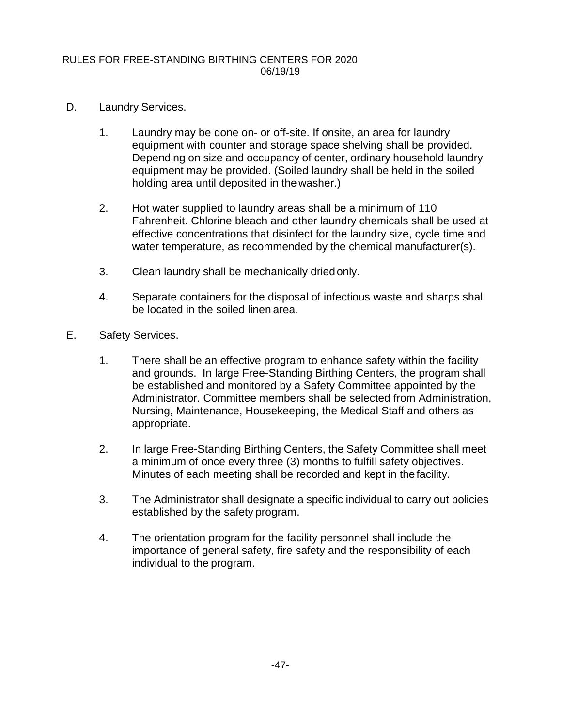- D. Laundry Services.
	- 1. Laundry may be done on- or off-site. If onsite, an area for laundry equipment with counter and storage space shelving shall be provided. Depending on size and occupancy of center, ordinary household laundry equipment may be provided. (Soiled laundry shall be held in the soiled holding area until deposited in thewasher.)
	- 2. Hot water supplied to laundry areas shall be a minimum of 110 Fahrenheit. Chlorine bleach and other laundry chemicals shall be used at effective concentrations that disinfect for the laundry size, cycle time and water temperature, as recommended by the chemical manufacturer(s).
	- 3. Clean laundry shall be mechanically driedonly.
	- 4. Separate containers for the disposal of infectious waste and sharps shall be located in the soiled linen area.
- E. Safety Services.
	- 1. There shall be an effective program to enhance safety within the facility and grounds. In large Free-Standing Birthing Centers, the program shall be established and monitored by a Safety Committee appointed by the Administrator. Committee members shall be selected from Administration, Nursing, Maintenance, Housekeeping, the Medical Staff and others as appropriate.
	- 2. In large Free-Standing Birthing Centers, the Safety Committee shall meet a minimum of once every three (3) months to fulfill safety objectives. Minutes of each meeting shall be recorded and kept in thefacility.
	- 3. The Administrator shall designate a specific individual to carry out policies established by the safety program.
	- 4. The orientation program for the facility personnel shall include the importance of general safety, fire safety and the responsibility of each individual to the program.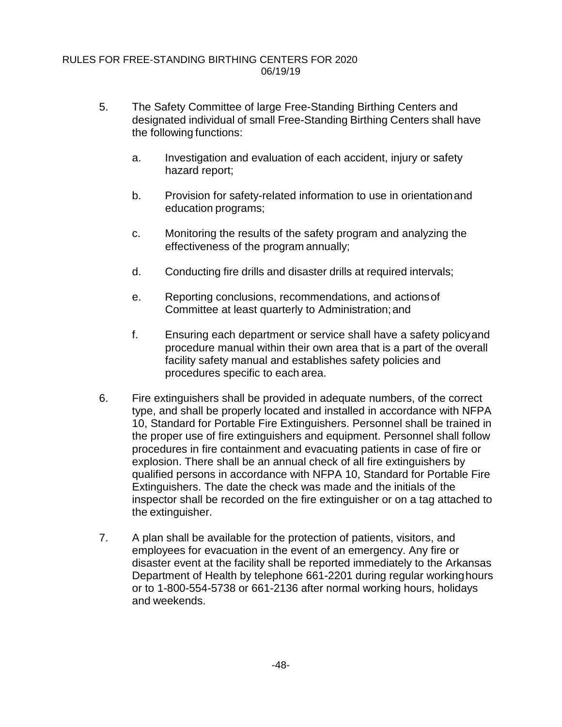- 5. The Safety Committee of large Free-Standing Birthing Centers and designated individual of small Free-Standing Birthing Centers shall have the following functions:
	- a. Investigation and evaluation of each accident, injury or safety hazard report;
	- b. Provision for safety-related information to use in orientationand education programs;
	- c. Monitoring the results of the safety program and analyzing the effectiveness of the program annually;
	- d. Conducting fire drills and disaster drills at required intervals;
	- e. Reporting conclusions, recommendations, and actionsof Committee at least quarterly to Administration;and
	- f. Ensuring each department or service shall have a safety policyand procedure manual within their own area that is a part of the overall facility safety manual and establishes safety policies and procedures specific to each area.
- 6. Fire extinguishers shall be provided in adequate numbers, of the correct type, and shall be properly located and installed in accordance with NFPA 10, Standard for Portable Fire Extinguishers. Personnel shall be trained in the proper use of fire extinguishers and equipment. Personnel shall follow procedures in fire containment and evacuating patients in case of fire or explosion. There shall be an annual check of all fire extinguishers by qualified persons in accordance with NFPA 10, Standard for Portable Fire Extinguishers. The date the check was made and the initials of the inspector shall be recorded on the fire extinguisher or on a tag attached to the extinguisher.
- 7. A plan shall be available for the protection of patients, visitors, and employees for evacuation in the event of an emergency. Any fire or disaster event at the facility shall be reported immediately to the Arkansas Department of Health by telephone 661-2201 during regular workinghours or to 1-800-554-5738 or 661-2136 after normal working hours, holidays and weekends.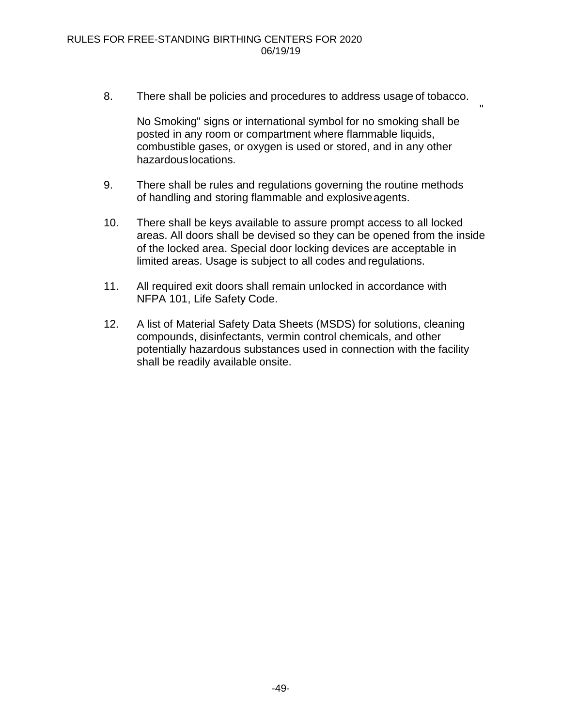8. There shall be policies and procedures to address usage of tobacco.

No Smoking" signs or international symbol for no smoking shall be posted in any room or compartment where flammable liquids, combustible gases, or oxygen is used or stored, and in any other hazardouslocations.

"

- 9. There shall be rules and regulations governing the routine methods of handling and storing flammable and explosiveagents.
- 10. There shall be keys available to assure prompt access to all locked areas. All doors shall be devised so they can be opened from the inside of the locked area. Special door locking devices are acceptable in limited areas. Usage is subject to all codes and regulations.
- 11. All required exit doors shall remain unlocked in accordance with NFPA 101, Life Safety Code.
- 12. A list of Material Safety Data Sheets (MSDS) for solutions, cleaning compounds, disinfectants, vermin control chemicals, and other potentially hazardous substances used in connection with the facility shall be readily available onsite.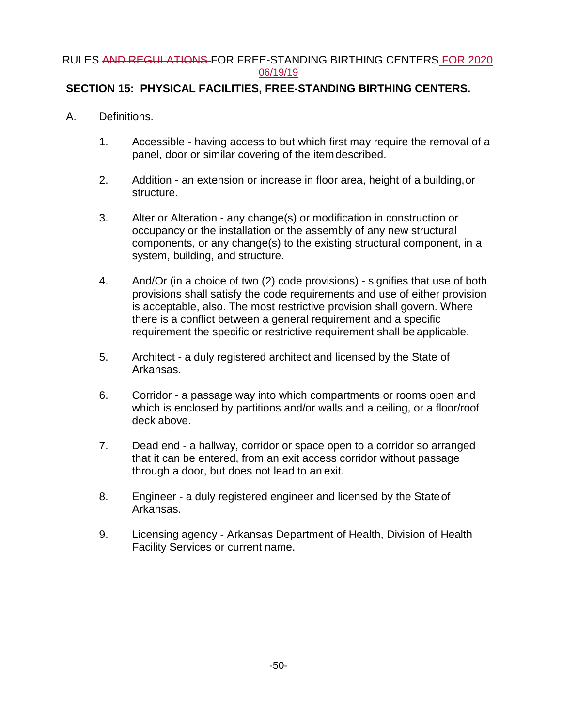## **SECTION 15: PHYSICAL FACILITIES, FREE-STANDING BIRTHING CENTERS.**

- A. Definitions.
	- 1. Accessible having access to but which first may require the removal of a panel, door or similar covering of the itemdescribed.
	- 2. Addition an extension or increase in floor area, height of a building,or structure.
	- 3. Alter or Alteration any change(s) or modification in construction or occupancy or the installation or the assembly of any new structural components, or any change(s) to the existing structural component, in a system, building, and structure.
	- 4. And/Or (in a choice of two (2) code provisions) signifies that use of both provisions shall satisfy the code requirements and use of either provision is acceptable, also. The most restrictive provision shall govern. Where there is a conflict between a general requirement and a specific requirement the specific or restrictive requirement shall be applicable.
	- 5. Architect a duly registered architect and licensed by the State of Arkansas.
	- 6. Corridor a passage way into which compartments or rooms open and which is enclosed by partitions and/or walls and a ceiling, or a floor/roof deck above.
	- 7. Dead end a hallway, corridor or space open to a corridor so arranged that it can be entered, from an exit access corridor without passage through a door, but does not lead to an exit.
	- 8. Engineer a duly registered engineer and licensed by the Stateof Arkansas.
	- 9. Licensing agency Arkansas Department of Health, Division of Health Facility Services or current name.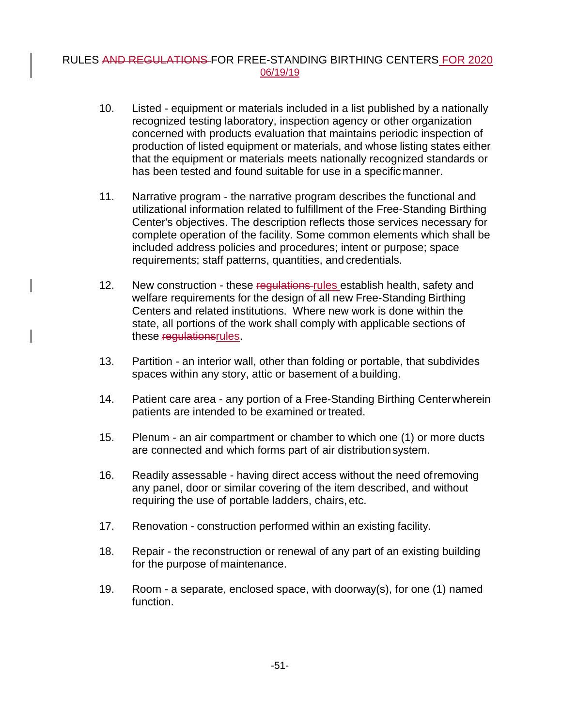- 10. Listed equipment or materials included in a list published by a nationally recognized testing laboratory, inspection agency or other organization concerned with products evaluation that maintains periodic inspection of production of listed equipment or materials, and whose listing states either that the equipment or materials meets nationally recognized standards or has been tested and found suitable for use in a specific manner.
- 11. Narrative program the narrative program describes the functional and utilizational information related to fulfillment of the Free-Standing Birthing Center's objectives. The description reflects those services necessary for complete operation of the facility. Some common elements which shall be included address policies and procedures; intent or purpose; space requirements; staff patterns, quantities, and credentials.
- 12. New construction these regulations rules establish health, safety and welfare requirements for the design of all new Free-Standing Birthing Centers and related institutions. Where new work is done within the state, all portions of the work shall comply with applicable sections of these regulationsrules.
- 13. Partition an interior wall, other than folding or portable, that subdivides spaces within any story, attic or basement of a building.
- 14. Patient care area any portion of a Free-Standing Birthing Centerwherein patients are intended to be examined or treated.
- 15. Plenum an air compartment or chamber to which one (1) or more ducts are connected and which forms part of air distributionsystem.
- 16. Readily assessable having direct access without the need ofremoving any panel, door or similar covering of the item described, and without requiring the use of portable ladders, chairs, etc.
- 17. Renovation construction performed within an existing facility.
- 18. Repair the reconstruction or renewal of any part of an existing building for the purpose of maintenance.
- 19. Room a separate, enclosed space, with doorway(s), for one (1) named function.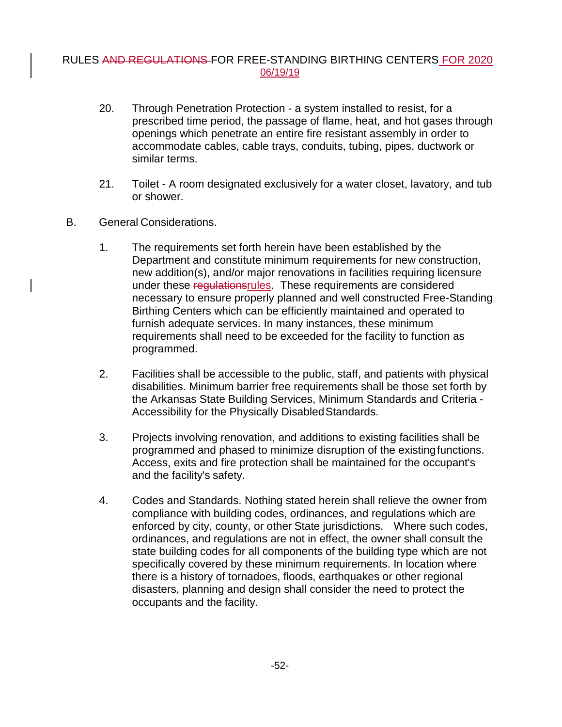- 20. Through Penetration Protection a system installed to resist, for a prescribed time period, the passage of flame, heat, and hot gases through openings which penetrate an entire fire resistant assembly in order to accommodate cables, cable trays, conduits, tubing, pipes, ductwork or similar terms.
- 21. Toilet A room designated exclusively for a water closet, lavatory, and tub or shower.
- B. General Considerations.
	- 1. The requirements set forth herein have been established by the Department and constitute minimum requirements for new construction, new addition(s), and/or major renovations in facilities requiring licensure under these regulationsrules. These requirements are considered necessary to ensure properly planned and well constructed Free-Standing Birthing Centers which can be efficiently maintained and operated to furnish adequate services. In many instances, these minimum requirements shall need to be exceeded for the facility to function as programmed.
	- 2. Facilities shall be accessible to the public, staff, and patients with physical disabilities. Minimum barrier free requirements shall be those set forth by the Arkansas State Building Services, Minimum Standards and Criteria - Accessibility for the Physically DisabledStandards.
	- 3. Projects involving renovation, and additions to existing facilities shall be programmed and phased to minimize disruption of the existingfunctions. Access, exits and fire protection shall be maintained for the occupant's and the facility's safety.
	- 4. Codes and Standards. Nothing stated herein shall relieve the owner from compliance with building codes, ordinances, and regulations which are enforced by city, county, or other State jurisdictions. Where such codes, ordinances, and regulations are not in effect, the owner shall consult the state building codes for all components of the building type which are not specifically covered by these minimum requirements. In location where there is a history of tornadoes, floods, earthquakes or other regional disasters, planning and design shall consider the need to protect the occupants and the facility.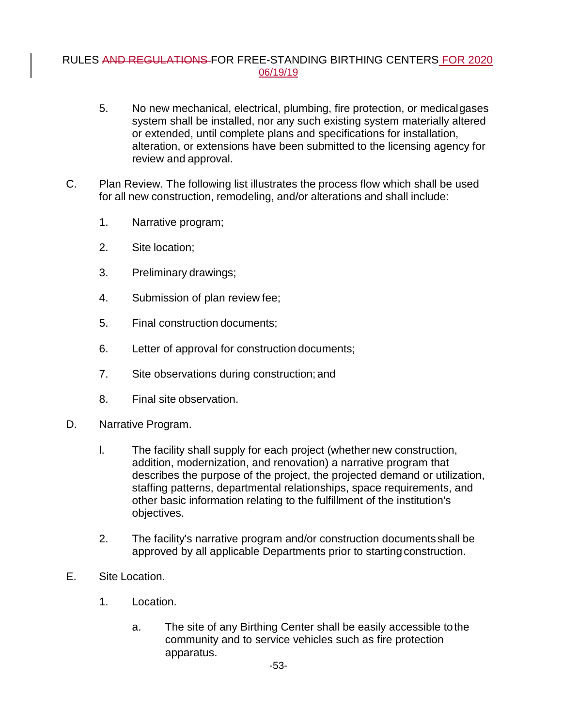- 5. No new mechanical, electrical, plumbing, fire protection, or medicalgases system shall be installed, nor any such existing system materially altered or extended, until complete plans and specifications for installation, alteration, or extensions have been submitted to the licensing agency for review and approval.
- C. Plan Review. The following list illustrates the process flow which shall be used for all new construction, remodeling, and/or alterations and shall include:
	- 1. Narrative program;
	- 2. Site location;
	- 3. Preliminary drawings;
	- 4. Submission of plan review fee;
	- 5. Final construction documents;
	- 6. Letter of approval for construction documents;
	- 7. Site observations during construction; and
	- 8. Final site observation.
- D. Narrative Program.
	- l. The facility shall supply for each project (whether new construction, addition, modernization, and renovation) a narrative program that describes the purpose of the project, the projected demand or utilization, staffing patterns, departmental relationships, space requirements, and other basic information relating to the fulfillment of the institution's objectives.
	- 2. The facility's narrative program and/or construction documentsshall be approved by all applicable Departments prior to starting construction.
- E. Site Location.
	- 1. Location.
		- a. The site of any Birthing Center shall be easily accessible tothe community and to service vehicles such as fire protection apparatus.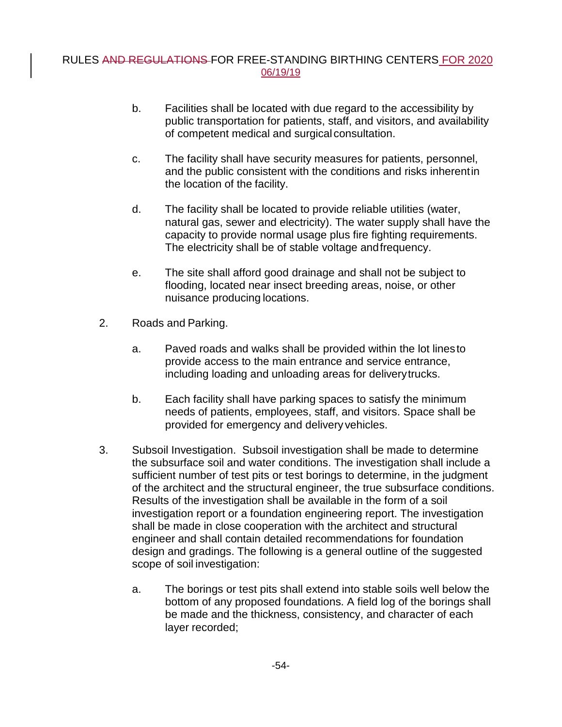- b. Facilities shall be located with due regard to the accessibility by public transportation for patients, staff, and visitors, and availability of competent medical and surgical consultation.
- c. The facility shall have security measures for patients, personnel, and the public consistent with the conditions and risks inherentin the location of the facility.
- d. The facility shall be located to provide reliable utilities (water, natural gas, sewer and electricity). The water supply shall have the capacity to provide normal usage plus fire fighting requirements. The electricity shall be of stable voltage andfrequency.
- e. The site shall afford good drainage and shall not be subject to flooding, located near insect breeding areas, noise, or other nuisance producing locations.
- 2. Roads and Parking.
	- a. Paved roads and walks shall be provided within the lot linesto provide access to the main entrance and service entrance, including loading and unloading areas for deliverytrucks.
	- b. Each facility shall have parking spaces to satisfy the minimum needs of patients, employees, staff, and visitors. Space shall be provided for emergency and delivery vehicles.
- 3. Subsoil Investigation. Subsoil investigation shall be made to determine the subsurface soil and water conditions. The investigation shall include a sufficient number of test pits or test borings to determine, in the judgment of the architect and the structural engineer, the true subsurface conditions. Results of the investigation shall be available in the form of a soil investigation report or a foundation engineering report. The investigation shall be made in close cooperation with the architect and structural engineer and shall contain detailed recommendations for foundation design and gradings. The following is a general outline of the suggested scope of soil investigation:
	- a. The borings or test pits shall extend into stable soils well below the bottom of any proposed foundations. A field log of the borings shall be made and the thickness, consistency, and character of each layer recorded;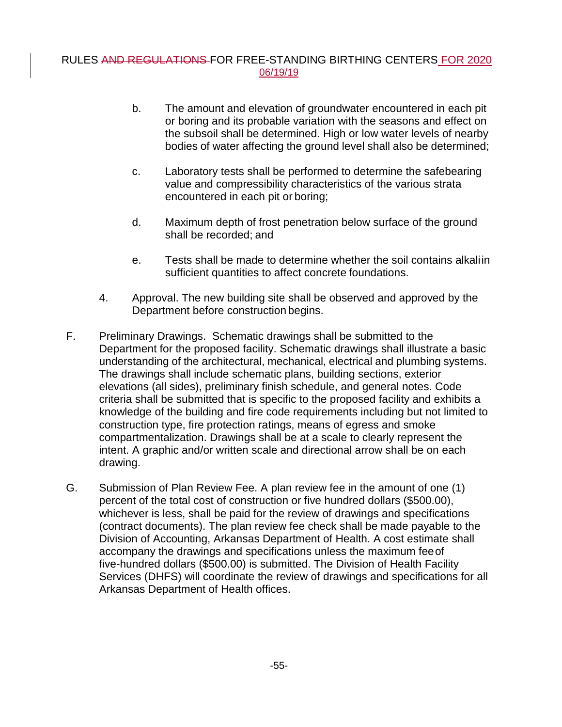- b. The amount and elevation of groundwater encountered in each pit or boring and its probable variation with the seasons and effect on the subsoil shall be determined. High or low water levels of nearby bodies of water affecting the ground level shall also be determined;
- c. Laboratory tests shall be performed to determine the safebearing value and compressibility characteristics of the various strata encountered in each pit or boring;
- d. Maximum depth of frost penetration below surface of the ground shall be recorded; and
- e. Tests shall be made to determine whether the soil contains alkaliin sufficient quantities to affect concrete foundations.
- 4. Approval. The new building site shall be observed and approved by the Department before construction begins.
- F. Preliminary Drawings. Schematic drawings shall be submitted to the Department for the proposed facility. Schematic drawings shall illustrate a basic understanding of the architectural, mechanical, electrical and plumbing systems. The drawings shall include schematic plans, building sections, exterior elevations (all sides), preliminary finish schedule, and general notes. Code criteria shall be submitted that is specific to the proposed facility and exhibits a knowledge of the building and fire code requirements including but not limited to construction type, fire protection ratings, means of egress and smoke compartmentalization. Drawings shall be at a scale to clearly represent the intent. A graphic and/or written scale and directional arrow shall be on each drawing.
- G. Submission of Plan Review Fee. A plan review fee in the amount of one (1) percent of the total cost of construction or five hundred dollars (\$500.00), whichever is less, shall be paid for the review of drawings and specifications (contract documents). The plan review fee check shall be made payable to the Division of Accounting, Arkansas Department of Health. A cost estimate shall accompany the drawings and specifications unless the maximum feeof five-hundred dollars (\$500.00) is submitted. The Division of Health Facility Services (DHFS) will coordinate the review of drawings and specifications for all Arkansas Department of Health offices.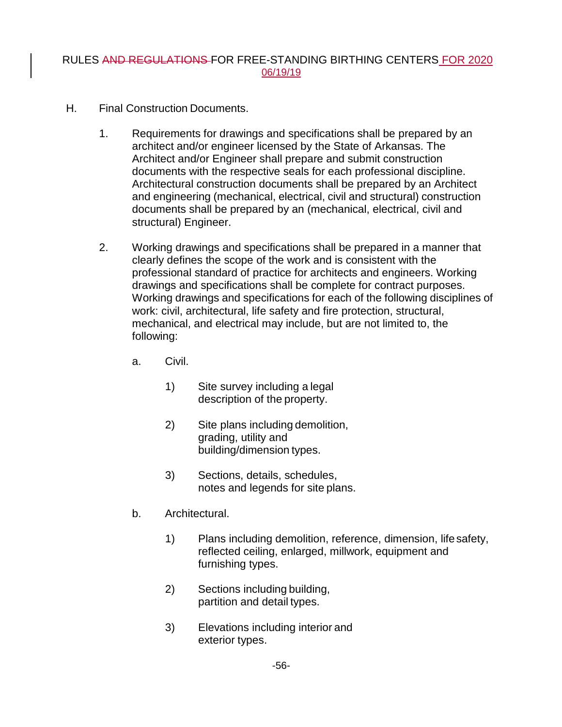- H. Final Construction Documents.
	- 1. Requirements for drawings and specifications shall be prepared by an architect and/or engineer licensed by the State of Arkansas. The Architect and/or Engineer shall prepare and submit construction documents with the respective seals for each professional discipline. Architectural construction documents shall be prepared by an Architect and engineering (mechanical, electrical, civil and structural) construction documents shall be prepared by an (mechanical, electrical, civil and structural) Engineer.
	- 2. Working drawings and specifications shall be prepared in a manner that clearly defines the scope of the work and is consistent with the professional standard of practice for architects and engineers. Working drawings and specifications shall be complete for contract purposes. Working drawings and specifications for each of the following disciplines of work: civil, architectural, life safety and fire protection, structural, mechanical, and electrical may include, but are not limited to, the following:
		- a. Civil.
			- 1) Site survey including a legal description of the property.
			- 2) Site plans including demolition, grading, utility and building/dimension types.
			- 3) Sections, details, schedules, notes and legends for site plans.
		- b. Architectural.
			- 1) Plans including demolition, reference, dimension, lifesafety, reflected ceiling, enlarged, millwork, equipment and furnishing types.
			- 2) Sections including building, partition and detail types.
			- 3) Elevations including interior and exterior types.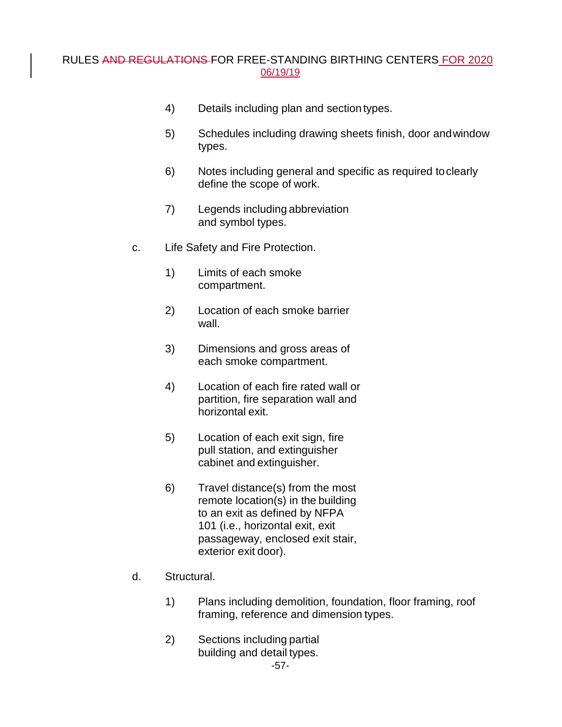- 4) Details including plan and section types.
- 5) Schedules including drawing sheets finish, door andwindow types.
- 6) Notes including general and specific as required toclearly define the scope of work.
- 7) Legends including abbreviation and symbol types.
- c. Life Safety and Fire Protection.
	- 1) Limits of each smoke compartment.
	- 2) Location of each smoke barrier wall.
	- 3) Dimensions and gross areas of each smoke compartment.
	- 4) Location of each fire rated wall or partition, fire separation wall and horizontal exit.
	- 5) Location of each exit sign, fire pull station, and extinguisher cabinet and extinguisher.
	- 6) Travel distance(s) from the most remote location(s) in the building to an exit as defined by NFPA 101 (i.e., horizontal exit, exit passageway, enclosed exit stair, exterior exit door).
- d. Structural.
	- 1) Plans including demolition, foundation, floor framing, roof framing, reference and dimension types.
	- 2) Sections including partial building and detail types.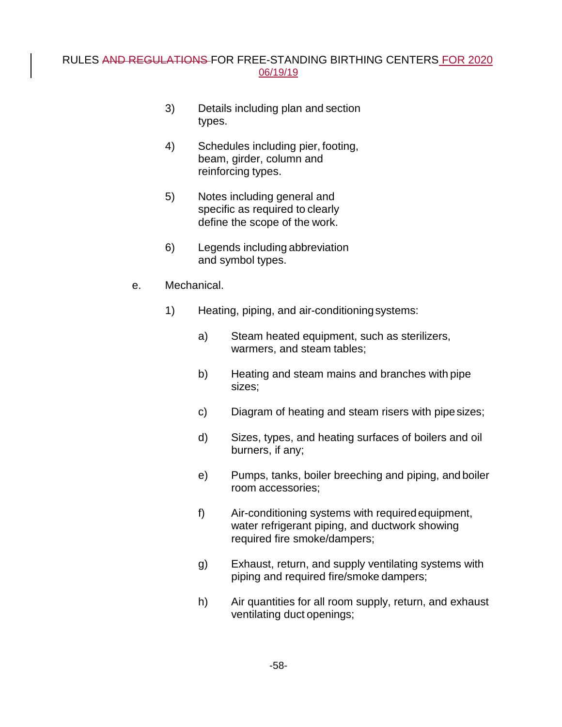- 3) Details including plan and section types.
- 4) Schedules including pier, footing, beam, girder, column and reinforcing types.
- 5) Notes including general and specific as required to clearly define the scope of the work.
- 6) Legends including abbreviation and symbol types.
- e. Mechanical.
	- 1) Heating, piping, and air-conditioningsystems:
		- a) Steam heated equipment, such as sterilizers, warmers, and steam tables;
		- b) Heating and steam mains and branches with pipe sizes;
		- c) Diagram of heating and steam risers with pipesizes;
		- d) Sizes, types, and heating surfaces of boilers and oil burners, if any;
		- e) Pumps, tanks, boiler breeching and piping, and boiler room accessories;
		- f) Air-conditioning systems with requiredequipment, water refrigerant piping, and ductwork showing required fire smoke/dampers;
		- g) Exhaust, return, and supply ventilating systems with piping and required fire/smoke dampers;
		- h) Air quantities for all room supply, return, and exhaust ventilating duct openings;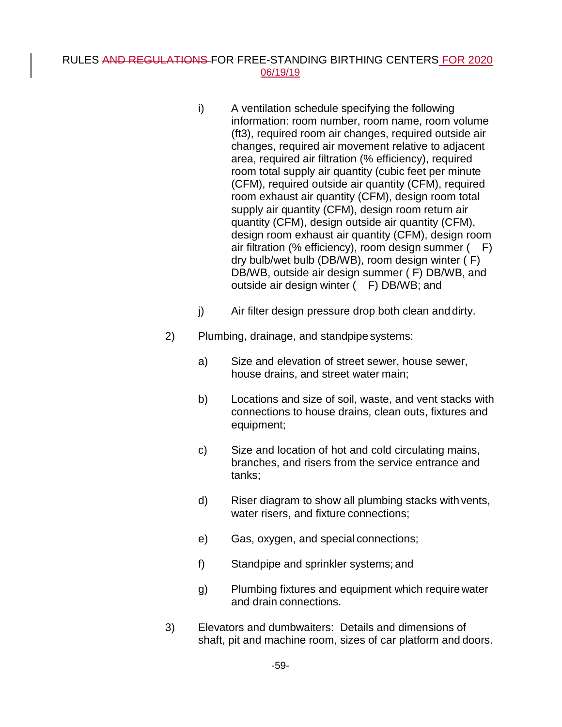- i) A ventilation schedule specifying the following information: room number, room name, room volume (ft3), required room air changes, required outside air changes, required air movement relative to adjacent area, required air filtration (% efficiency), required room total supply air quantity (cubic feet per minute (CFM), required outside air quantity (CFM), required room exhaust air quantity (CFM), design room total supply air quantity (CFM), design room return air quantity (CFM), design outside air quantity (CFM), design room exhaust air quantity (CFM), design room air filtration (% efficiency), room design summer ( F) dry bulb/wet bulb (DB/WB), room design winter ( F) DB/WB, outside air design summer ( F) DB/WB, and outside air design winter ( F) DB/WB; and
- j) Air filter design pressure drop both clean and dirty.
- 2) Plumbing, drainage, and standpipe systems:
	- a) Size and elevation of street sewer, house sewer, house drains, and street water main;
	- b) Locations and size of soil, waste, and vent stacks with connections to house drains, clean outs, fixtures and equipment;
	- c) Size and location of hot and cold circulating mains, branches, and risers from the service entrance and tanks;
	- d) Riser diagram to show all plumbing stacks withvents, water risers, and fixture connections;
	- e) Gas, oxygen, and special connections;
	- f) Standpipe and sprinkler systems; and
	- g) Plumbing fixtures and equipment which requirewater and drain connections.
- 3) Elevators and dumbwaiters: Details and dimensions of shaft, pit and machine room, sizes of car platform and doors.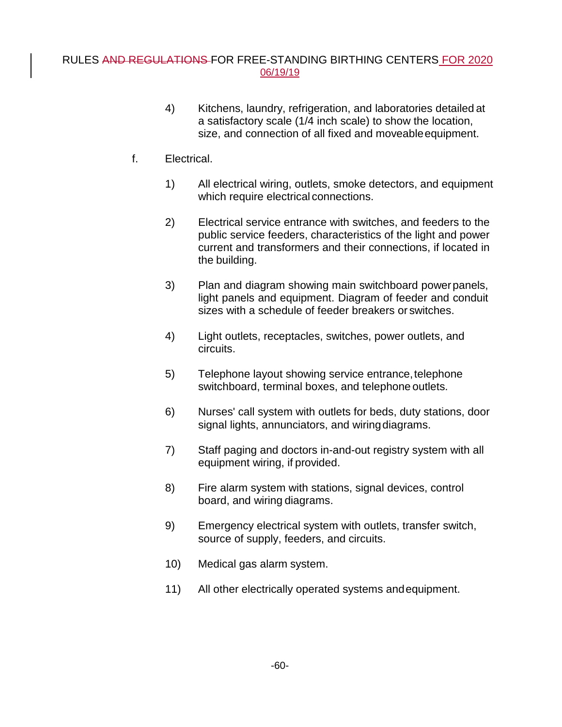- 4) Kitchens, laundry, refrigeration, and laboratories detailed at a satisfactory scale (1/4 inch scale) to show the location, size, and connection of all fixed and moveableequipment.
- f. Electrical.
	- 1) All electrical wiring, outlets, smoke detectors, and equipment which require electrical connections.
	- 2) Electrical service entrance with switches, and feeders to the public service feeders, characteristics of the light and power current and transformers and their connections, if located in the building.
	- 3) Plan and diagram showing main switchboard powerpanels, light panels and equipment. Diagram of feeder and conduit sizes with a schedule of feeder breakers or switches.
	- 4) Light outlets, receptacles, switches, power outlets, and circuits.
	- 5) Telephone layout showing service entrance,telephone switchboard, terminal boxes, and telephone outlets.
	- 6) Nurses' call system with outlets for beds, duty stations, door signal lights, annunciators, and wiringdiagrams.
	- 7) Staff paging and doctors in-and-out registry system with all equipment wiring, if provided.
	- 8) Fire alarm system with stations, signal devices, control board, and wiring diagrams.
	- 9) Emergency electrical system with outlets, transfer switch, source of supply, feeders, and circuits.
	- 10) Medical gas alarm system.
	- 11) All other electrically operated systems andequipment.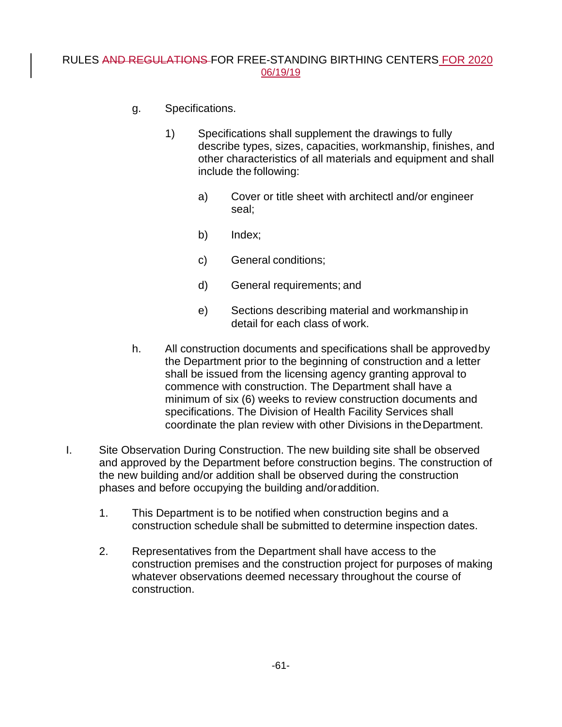- g. Specifications.
	- 1) Specifications shall supplement the drawings to fully describe types, sizes, capacities, workmanship, finishes, and other characteristics of all materials and equipment and shall include the following:
		- a) Cover or title sheet with architectl and/or engineer seal;
		- b) Index;
		- c) General conditions;
		- d) General requirements; and
		- e) Sections describing material and workmanship in detail for each class of work.
- h. All construction documents and specifications shall be approvedby the Department prior to the beginning of construction and a letter shall be issued from the licensing agency granting approval to commence with construction. The Department shall have a minimum of six (6) weeks to review construction documents and specifications. The Division of Health Facility Services shall coordinate the plan review with other Divisions in theDepartment.
- I. Site Observation During Construction. The new building site shall be observed and approved by the Department before construction begins. The construction of the new building and/or addition shall be observed during the construction phases and before occupying the building and/oraddition.
	- 1. This Department is to be notified when construction begins and a construction schedule shall be submitted to determine inspection dates.
	- 2. Representatives from the Department shall have access to the construction premises and the construction project for purposes of making whatever observations deemed necessary throughout the course of construction.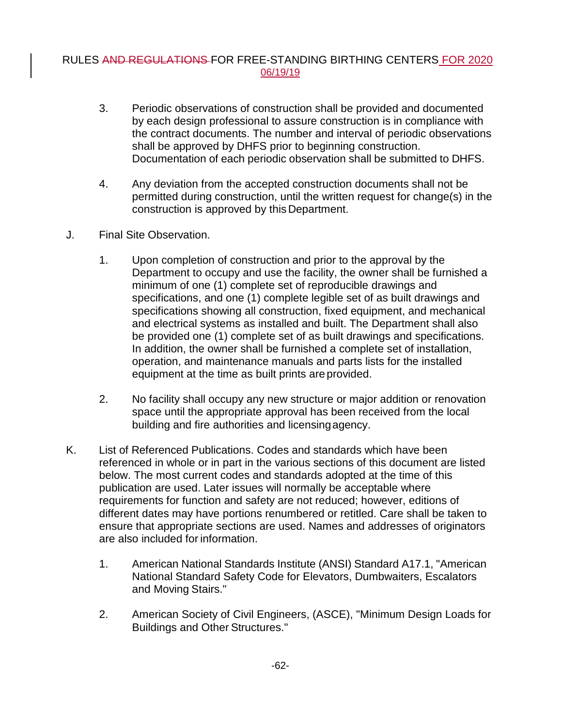- 3. Periodic observations of construction shall be provided and documented by each design professional to assure construction is in compliance with the contract documents. The number and interval of periodic observations shall be approved by DHFS prior to beginning construction. Documentation of each periodic observation shall be submitted to DHFS.
- 4. Any deviation from the accepted construction documents shall not be permitted during construction, until the written request for change(s) in the construction is approved by this Department.
- J. Final Site Observation.
	- 1. Upon completion of construction and prior to the approval by the Department to occupy and use the facility, the owner shall be furnished a minimum of one (1) complete set of reproducible drawings and specifications, and one (1) complete legible set of as built drawings and specifications showing all construction, fixed equipment, and mechanical and electrical systems as installed and built. The Department shall also be provided one (1) complete set of as built drawings and specifications. In addition, the owner shall be furnished a complete set of installation, operation, and maintenance manuals and parts lists for the installed equipment at the time as built prints are provided.
	- 2. No facility shall occupy any new structure or major addition or renovation space until the appropriate approval has been received from the local building and fire authorities and licensingagency.
- K. List of Referenced Publications. Codes and standards which have been referenced in whole or in part in the various sections of this document are listed below. The most current codes and standards adopted at the time of this publication are used. Later issues will normally be acceptable where requirements for function and safety are not reduced; however, editions of different dates may have portions renumbered or retitled. Care shall be taken to ensure that appropriate sections are used. Names and addresses of originators are also included for information.
	- 1. American National Standards Institute (ANSI) Standard A17.1, "American National Standard Safety Code for Elevators, Dumbwaiters, Escalators and Moving Stairs."
	- 2. American Society of Civil Engineers, (ASCE), "Minimum Design Loads for Buildings and Other Structures."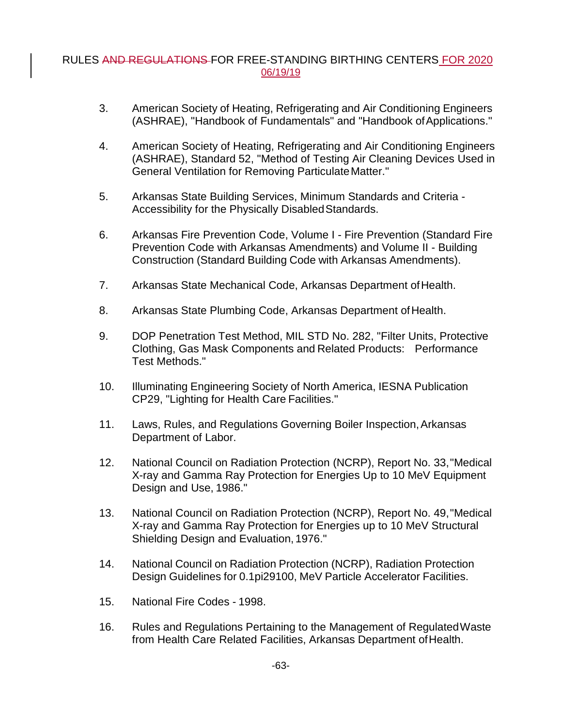- 3. American Society of Heating, Refrigerating and Air Conditioning Engineers (ASHRAE), "Handbook of Fundamentals" and "Handbook of Applications."
- 4. American Society of Heating, Refrigerating and Air Conditioning Engineers (ASHRAE), Standard 52, "Method of Testing Air Cleaning Devices Used in General Ventilation for Removing Particulate Matter."
- 5. Arkansas State Building Services, Minimum Standards and Criteria Accessibility for the Physically DisabledStandards.
- 6. Arkansas Fire Prevention Code, Volume I Fire Prevention (Standard Fire Prevention Code with Arkansas Amendments) and Volume II - Building Construction (Standard Building Code with Arkansas Amendments).
- 7. Arkansas State Mechanical Code, Arkansas Department ofHealth.
- 8. Arkansas State Plumbing Code, Arkansas Department of Health.
- 9. DOP Penetration Test Method, MIL STD No. 282, "Filter Units, Protective Clothing, Gas Mask Components and Related Products: Performance Test Methods."
- 10. Illuminating Engineering Society of North America, IESNA Publication CP29, "Lighting for Health Care Facilities."
- 11. Laws, Rules, and Regulations Governing Boiler Inspection, Arkansas Department of Labor.
- 12. National Council on Radiation Protection (NCRP), Report No. 33,"Medical X-ray and Gamma Ray Protection for Energies Up to 10 MeV Equipment Design and Use, 1986."
- 13. National Council on Radiation Protection (NCRP), Report No. 49,"Medical X-ray and Gamma Ray Protection for Energies up to 10 MeV Structural Shielding Design and Evaluation, 1976."
- 14. National Council on Radiation Protection (NCRP), Radiation Protection Design Guidelines for 0.1pi29100, MeV Particle Accelerator Facilities.
- 15. National Fire Codes 1998.
- 16. Rules and Regulations Pertaining to the Management of RegulatedWaste from Health Care Related Facilities, Arkansas Department ofHealth.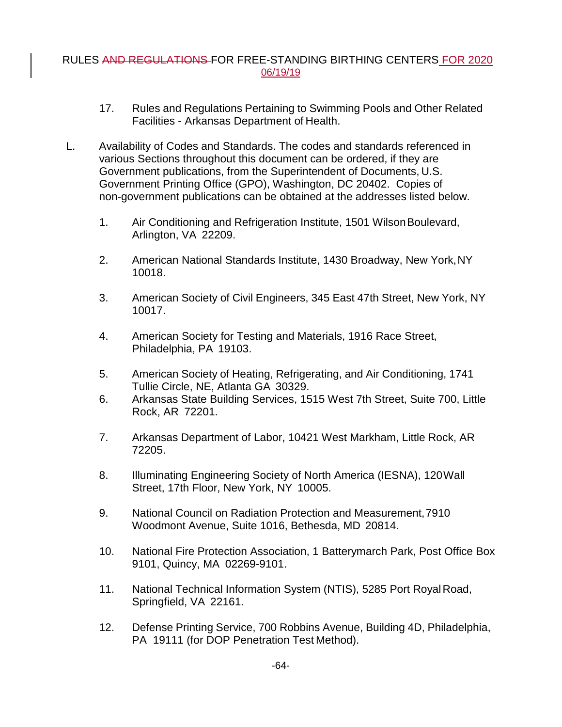- 17. Rules and Regulations Pertaining to Swimming Pools and Other Related Facilities - Arkansas Department of Health.
- L. Availability of Codes and Standards. The codes and standards referenced in various Sections throughout this document can be ordered, if they are Government publications, from the Superintendent of Documents, U.S. Government Printing Office (GPO), Washington, DC 20402. Copies of non-government publications can be obtained at the addresses listed below.
	- 1. Air Conditioning and Refrigeration Institute, 1501 WilsonBoulevard, Arlington, VA 22209.
	- 2. American National Standards Institute, 1430 Broadway, New York,NY 10018.
	- 3. American Society of Civil Engineers, 345 East 47th Street, New York, NY 10017.
	- 4. American Society for Testing and Materials, 1916 Race Street, Philadelphia, PA 19103.
	- 5. American Society of Heating, Refrigerating, and Air Conditioning, 1741 Tullie Circle, NE, Atlanta GA 30329.
	- 6. Arkansas State Building Services, 1515 West 7th Street, Suite 700, Little Rock, AR 72201.
	- 7. Arkansas Department of Labor, 10421 West Markham, Little Rock, AR 72205.
	- 8. Illuminating Engineering Society of North America (IESNA), 120Wall Street, 17th Floor, New York, NY 10005.
	- 9. National Council on Radiation Protection and Measurement,7910 Woodmont Avenue, Suite 1016, Bethesda, MD 20814.
	- 10. National Fire Protection Association, 1 Batterymarch Park, Post Office Box 9101, Quincy, MA 02269-9101.
	- 11. National Technical Information System (NTIS), 5285 Port RoyalRoad, Springfield, VA 22161.
	- 12. Defense Printing Service, 700 Robbins Avenue, Building 4D, Philadelphia, PA 19111 (for DOP Penetration Test Method).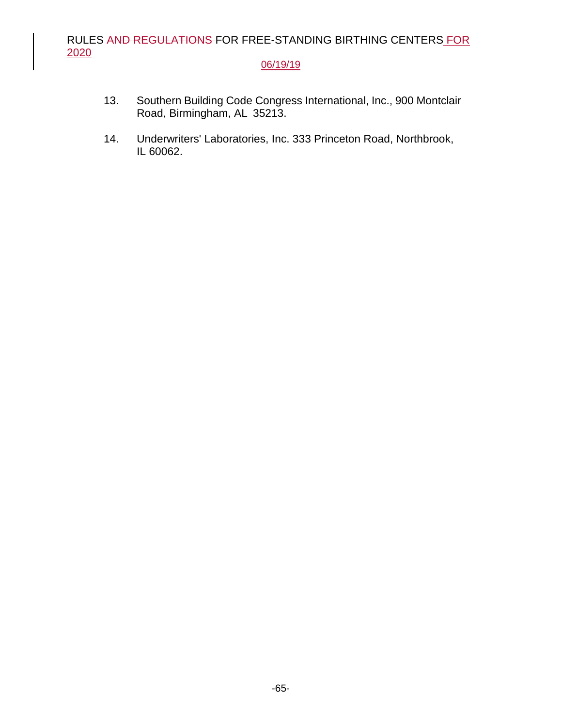## 06/19/19

- 13. Southern Building Code Congress International, Inc., 900 Montclair Road, Birmingham, AL 35213.
- 14. Underwriters' Laboratories, Inc. 333 Princeton Road, Northbrook, IL 60062.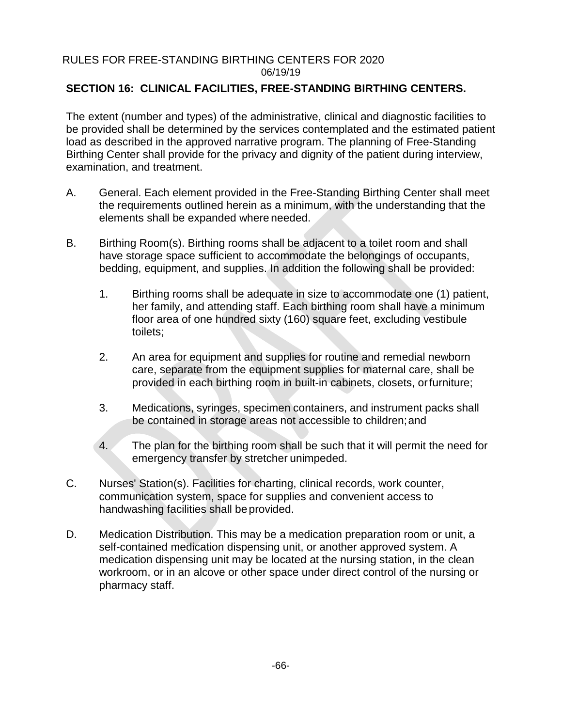## **SECTION 16: CLINICAL FACILITIES, FREE-STANDING BIRTHING CENTERS.**

The extent (number and types) of the administrative, clinical and diagnostic facilities to be provided shall be determined by the services contemplated and the estimated patient load as described in the approved narrative program. The planning of Free-Standing Birthing Center shall provide for the privacy and dignity of the patient during interview, examination, and treatment.

- A. General. Each element provided in the Free-Standing Birthing Center shall meet the requirements outlined herein as a minimum, with the understanding that the elements shall be expanded where needed.
- B. Birthing Room(s). Birthing rooms shall be adjacent to a toilet room and shall have storage space sufficient to accommodate the belongings of occupants, bedding, equipment, and supplies. In addition the following shall be provided:
	- 1. Birthing rooms shall be adequate in size to accommodate one (1) patient, her family, and attending staff. Each birthing room shall have a minimum floor area of one hundred sixty (160) square feet, excluding vestibule toilets;
	- 2. An area for equipment and supplies for routine and remedial newborn care, separate from the equipment supplies for maternal care, shall be provided in each birthing room in built-in cabinets, closets, orfurniture;
	- 3. Medications, syringes, specimen containers, and instrument packs shall be contained in storage areas not accessible to children;and
	- 4. The plan for the birthing room shall be such that it will permit the need for emergency transfer by stretcher unimpeded.
- C. Nurses' Station(s). Facilities for charting, clinical records, work counter, communication system, space for supplies and convenient access to handwashing facilities shall beprovided.
- D. Medication Distribution. This may be a medication preparation room or unit, a self-contained medication dispensing unit, or another approved system. A medication dispensing unit may be located at the nursing station, in the clean workroom, or in an alcove or other space under direct control of the nursing or pharmacy staff.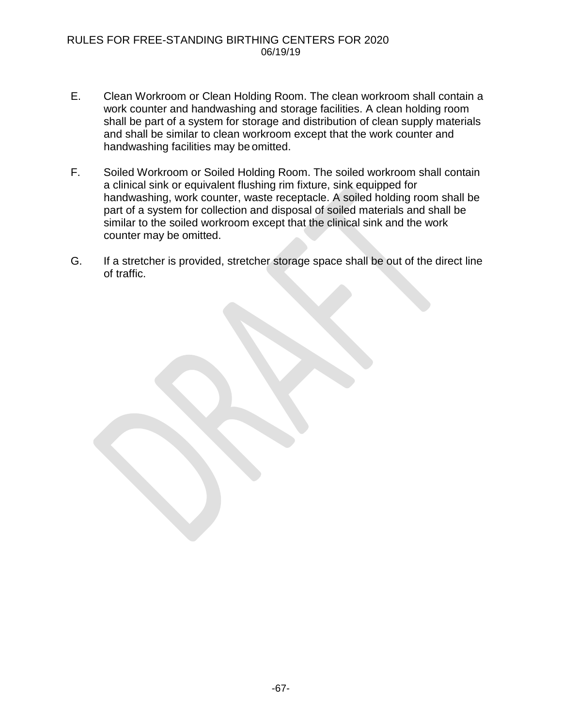- E. Clean Workroom or Clean Holding Room. The clean workroom shall contain a work counter and handwashing and storage facilities. A clean holding room shall be part of a system for storage and distribution of clean supply materials and shall be similar to clean workroom except that the work counter and handwashing facilities may be omitted.
- F. Soiled Workroom or Soiled Holding Room. The soiled workroom shall contain a clinical sink or equivalent flushing rim fixture, sink equipped for handwashing, work counter, waste receptacle. A soiled holding room shall be part of a system for collection and disposal of soiled materials and shall be similar to the soiled workroom except that the clinical sink and the work counter may be omitted.
- G. If a stretcher is provided, stretcher storage space shall be out of the direct line of traffic.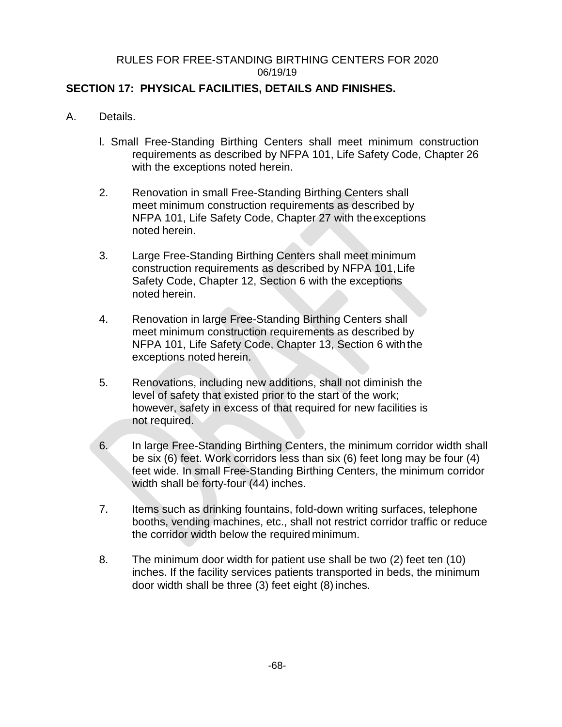## **SECTION 17: PHYSICAL FACILITIES, DETAILS AND FINISHES.**

- A. Details.
	- l. Small Free-Standing Birthing Centers shall meet minimum construction requirements as described by NFPA 101, Life Safety Code, Chapter 26 with the exceptions noted herein.
	- 2. Renovation in small Free-Standing Birthing Centers shall meet minimum construction requirements as described by NFPA 101, Life Safety Code, Chapter 27 with theexceptions noted herein.
	- 3. Large Free-Standing Birthing Centers shall meet minimum construction requirements as described by NFPA 101,Life Safety Code, Chapter 12, Section 6 with the exceptions noted herein.
	- 4. Renovation in large Free-Standing Birthing Centers shall meet minimum construction requirements as described by NFPA 101, Life Safety Code, Chapter 13, Section 6 with the exceptions noted herein.
	- 5. Renovations, including new additions, shall not diminish the level of safety that existed prior to the start of the work; however, safety in excess of that required for new facilities is not required.
	- 6. In large Free-Standing Birthing Centers, the minimum corridor width shall be six (6) feet. Work corridors less than six (6) feet long may be four (4) feet wide. In small Free-Standing Birthing Centers, the minimum corridor width shall be forty-four (44) inches.
	- 7. Items such as drinking fountains, fold-down writing surfaces, telephone booths, vending machines, etc., shall not restrict corridor traffic or reduce the corridor width below the required minimum.
	- 8. The minimum door width for patient use shall be two (2) feet ten (10) inches. If the facility services patients transported in beds, the minimum door width shall be three (3) feet eight (8) inches.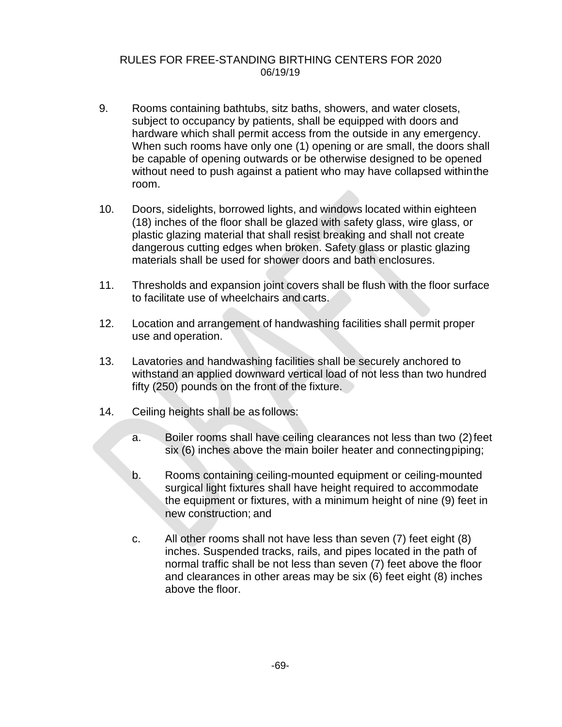- 9. Rooms containing bathtubs, sitz baths, showers, and water closets, subject to occupancy by patients, shall be equipped with doors and hardware which shall permit access from the outside in any emergency. When such rooms have only one (1) opening or are small, the doors shall be capable of opening outwards or be otherwise designed to be opened without need to push against a patient who may have collapsed withinthe room.
- 10. Doors, sidelights, borrowed lights, and windows located within eighteen (18) inches of the floor shall be glazed with safety glass, wire glass, or plastic glazing material that shall resist breaking and shall not create dangerous cutting edges when broken. Safety glass or plastic glazing materials shall be used for shower doors and bath enclosures.
- 11. Thresholds and expansion joint covers shall be flush with the floor surface to facilitate use of wheelchairs and carts.
- 12. Location and arrangement of handwashing facilities shall permit proper use and operation.
- 13. Lavatories and handwashing facilities shall be securely anchored to withstand an applied downward vertical load of not less than two hundred fifty (250) pounds on the front of the fixture.
- 14. Ceiling heights shall be as follows:
	- a. Boiler rooms shall have ceiling clearances not less than two (2)feet six (6) inches above the main boiler heater and connectingpiping;
	- b. Rooms containing ceiling-mounted equipment or ceiling-mounted surgical light fixtures shall have height required to accommodate the equipment or fixtures, with a minimum height of nine (9) feet in new construction; and
	- c. All other rooms shall not have less than seven (7) feet eight (8) inches. Suspended tracks, rails, and pipes located in the path of normal traffic shall be not less than seven (7) feet above the floor and clearances in other areas may be six (6) feet eight (8) inches above the floor.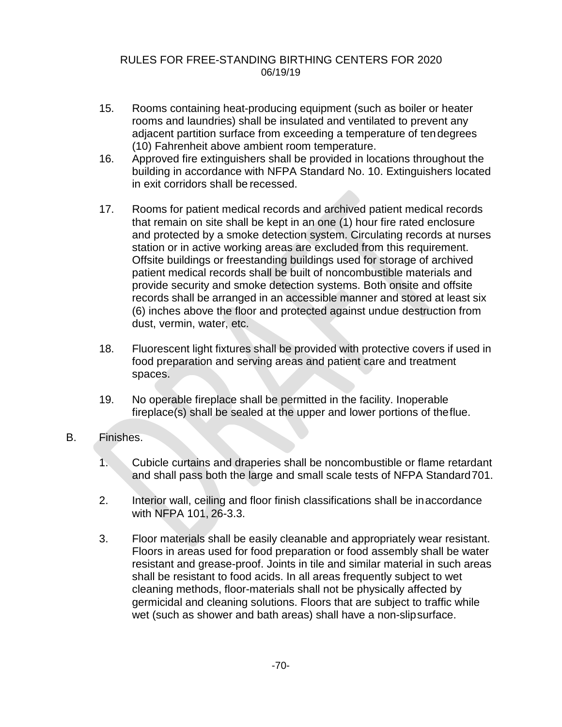- 15. Rooms containing heat-producing equipment (such as boiler or heater rooms and laundries) shall be insulated and ventilated to prevent any adjacent partition surface from exceeding a temperature of tendegrees (10) Fahrenheit above ambient room temperature.
- 16. Approved fire extinguishers shall be provided in locations throughout the building in accordance with NFPA Standard No. 10. Extinguishers located in exit corridors shall be recessed.
- 17. Rooms for patient medical records and archived patient medical records that remain on site shall be kept in an one (1) hour fire rated enclosure and protected by a smoke detection system. Circulating records at nurses station or in active working areas are excluded from this requirement. Offsite buildings or freestanding buildings used for storage of archived patient medical records shall be built of noncombustible materials and provide security and smoke detection systems. Both onsite and offsite records shall be arranged in an accessible manner and stored at least six (6) inches above the floor and protected against undue destruction from dust, vermin, water, etc.
- 18. Fluorescent light fixtures shall be provided with protective covers if used in food preparation and serving areas and patient care and treatment spaces.
- 19. No operable fireplace shall be permitted in the facility. Inoperable fireplace(s) shall be sealed at the upper and lower portions of theflue.
- B. Finishes.
	- 1. Cubicle curtains and draperies shall be noncombustible or flame retardant and shall pass both the large and small scale tests of NFPA Standard701.
	- 2. Interior wall, ceiling and floor finish classifications shall be inaccordance with NFPA 101, 26-3.3.
	- 3. Floor materials shall be easily cleanable and appropriately wear resistant. Floors in areas used for food preparation or food assembly shall be water resistant and grease-proof. Joints in tile and similar material in such areas shall be resistant to food acids. In all areas frequently subject to wet cleaning methods, floor-materials shall not be physically affected by germicidal and cleaning solutions. Floors that are subject to traffic while wet (such as shower and bath areas) shall have a non-slipsurface.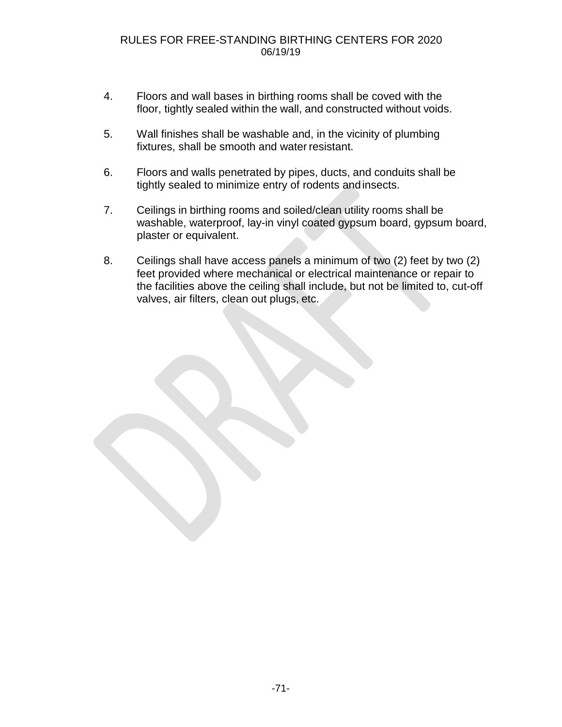- 4. Floors and wall bases in birthing rooms shall be coved with the floor, tightly sealed within the wall, and constructed without voids.
- 5. Wall finishes shall be washable and, in the vicinity of plumbing fixtures, shall be smooth and water resistant.
- 6. Floors and walls penetrated by pipes, ducts, and conduits shall be tightly sealed to minimize entry of rodents andinsects.
- 7. Ceilings in birthing rooms and soiled/clean utility rooms shall be washable, waterproof, lay-in vinyl coated gypsum board, gypsum board, plaster or equivalent.
- 8. Ceilings shall have access panels a minimum of two (2) feet by two (2) feet provided where mechanical or electrical maintenance or repair to the facilities above the ceiling shall include, but not be limited to, cut-off valves, air filters, clean out plugs, etc.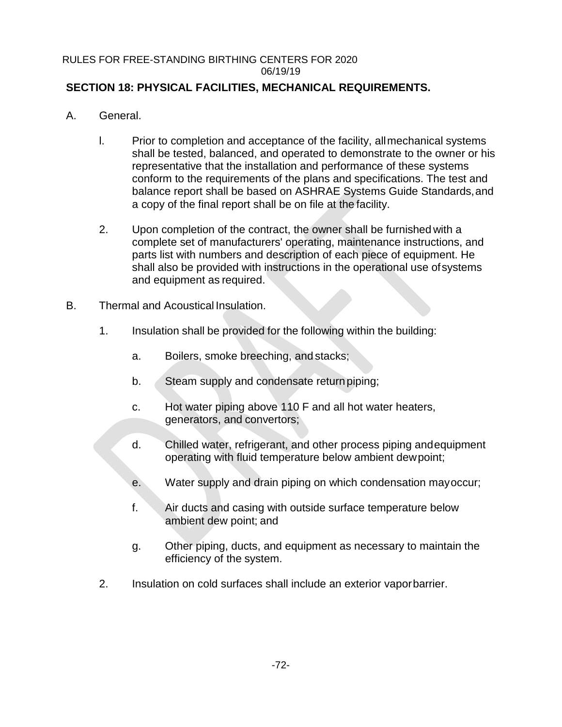# **SECTION 18: PHYSICAL FACILITIES, MECHANICAL REQUIREMENTS.**

- A. General.
	- l. Prior to completion and acceptance of the facility, allmechanical systems shall be tested, balanced, and operated to demonstrate to the owner or his representative that the installation and performance of these systems conform to the requirements of the plans and specifications. The test and balance report shall be based on ASHRAE Systems Guide Standards,and a copy of the final report shall be on file at the facility.
	- 2. Upon completion of the contract, the owner shall be furnished with a complete set of manufacturers' operating, maintenance instructions, and parts list with numbers and description of each piece of equipment. He shall also be provided with instructions in the operational use ofsystems and equipment as required.
- B. Thermal and Acoustical Insulation.
	- 1. Insulation shall be provided for the following within the building:
		- a. Boilers, smoke breeching, and stacks;
		- b. Steam supply and condensate return piping;
		- c. Hot water piping above 110 F and all hot water heaters, generators, and convertors;
		- d. Chilled water, refrigerant, and other process piping andequipment operating with fluid temperature below ambient dewpoint;
		- e. Water supply and drain piping on which condensation mayoccur;
		- f. Air ducts and casing with outside surface temperature below ambient dew point; and
		- g. Other piping, ducts, and equipment as necessary to maintain the efficiency of the system.
	- 2. Insulation on cold surfaces shall include an exterior vaporbarrier.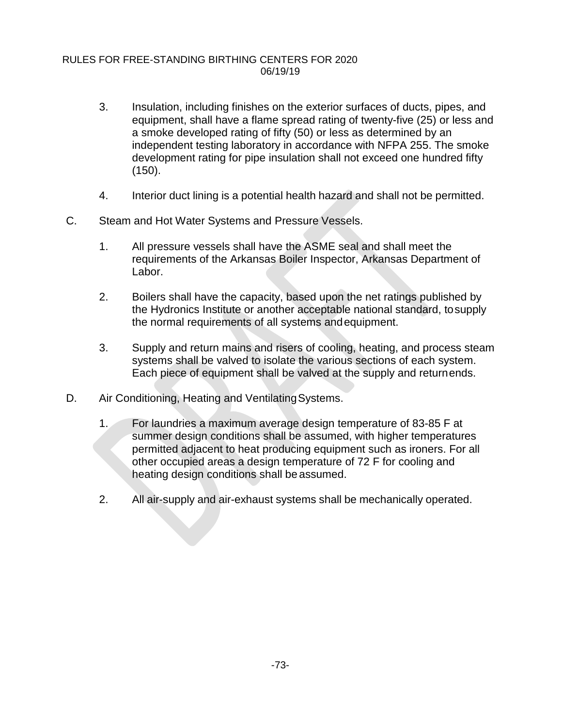- 3. Insulation, including finishes on the exterior surfaces of ducts, pipes, and equipment, shall have a flame spread rating of twenty-five (25) or less and a smoke developed rating of fifty (50) or less as determined by an independent testing laboratory in accordance with NFPA 255. The smoke development rating for pipe insulation shall not exceed one hundred fifty (150).
- 4. Interior duct lining is a potential health hazard and shall not be permitted.
- C. Steam and Hot Water Systems and Pressure Vessels.
	- 1. All pressure vessels shall have the ASME seal and shall meet the requirements of the Arkansas Boiler Inspector, Arkansas Department of Labor.
	- 2. Boilers shall have the capacity, based upon the net ratings published by the Hydronics Institute or another acceptable national standard, tosupply the normal requirements of all systems andequipment.
	- 3. Supply and return mains and risers of cooling, heating, and process steam systems shall be valved to isolate the various sections of each system. Each piece of equipment shall be valved at the supply and returnends.
- D. Air Conditioning, Heating and Ventilating Systems.
	- 1. For laundries a maximum average design temperature of 83-85 F at summer design conditions shall be assumed, with higher temperatures permitted adjacent to heat producing equipment such as ironers. For all other occupied areas a design temperature of 72 F for cooling and heating design conditions shall be assumed.
	- 2. All air-supply and air-exhaust systems shall be mechanically operated.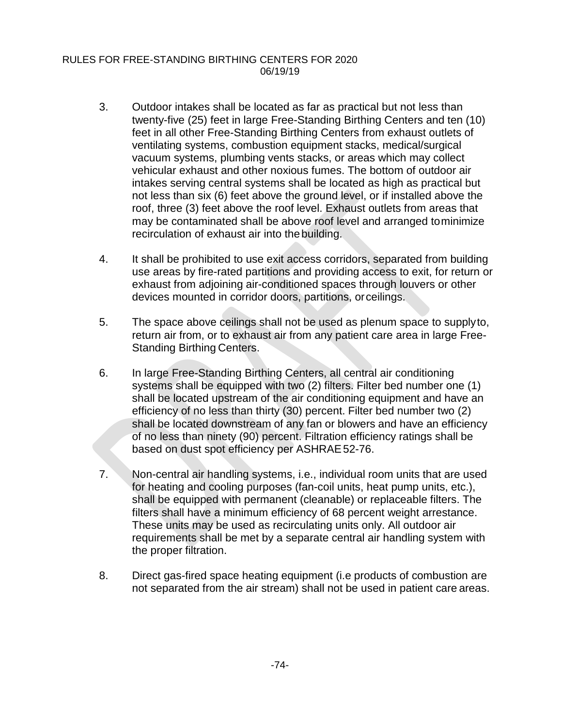- 3. Outdoor intakes shall be located as far as practical but not less than twenty-five (25) feet in large Free-Standing Birthing Centers and ten (10) feet in all other Free-Standing Birthing Centers from exhaust outlets of ventilating systems, combustion equipment stacks, medical/surgical vacuum systems, plumbing vents stacks, or areas which may collect vehicular exhaust and other noxious fumes. The bottom of outdoor air intakes serving central systems shall be located as high as practical but not less than six (6) feet above the ground level, or if installed above the roof, three (3) feet above the roof level. Exhaust outlets from areas that may be contaminated shall be above roof level and arranged tominimize recirculation of exhaust air into thebuilding.
- 4. It shall be prohibited to use exit access corridors, separated from building use areas by fire-rated partitions and providing access to exit, for return or exhaust from adjoining air-conditioned spaces through louvers or other devices mounted in corridor doors, partitions, orceilings.
- 5. The space above ceilings shall not be used as plenum space to supplyto, return air from, or to exhaust air from any patient care area in large Free-Standing Birthing Centers.
- 6. In large Free-Standing Birthing Centers, all central air conditioning systems shall be equipped with two (2) filters. Filter bed number one (1) shall be located upstream of the air conditioning equipment and have an efficiency of no less than thirty (30) percent. Filter bed number two (2) shall be located downstream of any fan or blowers and have an efficiency of no less than ninety (90) percent. Filtration efficiency ratings shall be based on dust spot efficiency per ASHRAE52-76.
- 7. Non-central air handling systems, i.e., individual room units that are used for heating and cooling purposes (fan-coil units, heat pump units, etc.), shall be equipped with permanent (cleanable) or replaceable filters. The filters shall have a minimum efficiency of 68 percent weight arrestance. These units may be used as recirculating units only. All outdoor air requirements shall be met by a separate central air handling system with the proper filtration.
- 8. Direct gas-fired space heating equipment (i.e products of combustion are not separated from the air stream) shall not be used in patient care areas.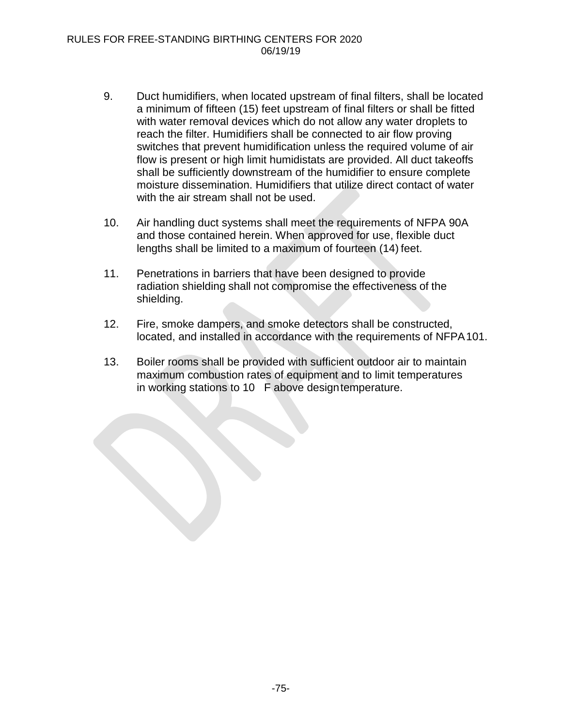- 9. Duct humidifiers, when located upstream of final filters, shall be located a minimum of fifteen (15) feet upstream of final filters or shall be fitted with water removal devices which do not allow any water droplets to reach the filter. Humidifiers shall be connected to air flow proving switches that prevent humidification unless the required volume of air flow is present or high limit humidistats are provided. All duct takeoffs shall be sufficiently downstream of the humidifier to ensure complete moisture dissemination. Humidifiers that utilize direct contact of water with the air stream shall not be used.
- 10. Air handling duct systems shall meet the requirements of NFPA 90A and those contained herein. When approved for use, flexible duct lengths shall be limited to a maximum of fourteen (14) feet.
- 11. Penetrations in barriers that have been designed to provide radiation shielding shall not compromise the effectiveness of the shielding.
- 12. Fire, smoke dampers, and smoke detectors shall be constructed, located, and installed in accordance with the requirements of NFPA101.
- 13. Boiler rooms shall be provided with sufficient outdoor air to maintain maximum combustion rates of equipment and to limit temperatures in working stations to 10 F above designtemperature.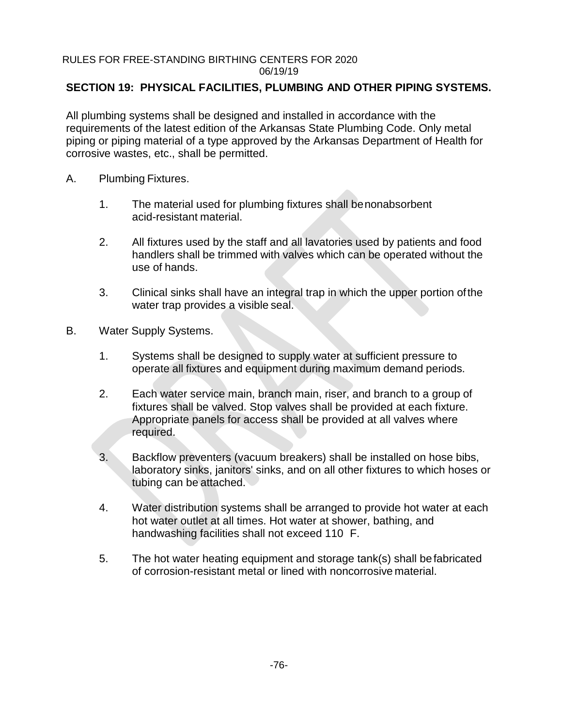# **SECTION 19: PHYSICAL FACILITIES, PLUMBING AND OTHER PIPING SYSTEMS.**

All plumbing systems shall be designed and installed in accordance with the requirements of the latest edition of the Arkansas State Plumbing Code. Only metal piping or piping material of a type approved by the Arkansas Department of Health for corrosive wastes, etc., shall be permitted.

- A. Plumbing Fixtures.
	- 1. The material used for plumbing fixtures shall benonabsorbent acid-resistant material.
	- 2. All fixtures used by the staff and all lavatories used by patients and food handlers shall be trimmed with valves which can be operated without the use of hands.
	- 3. Clinical sinks shall have an integral trap in which the upper portion ofthe water trap provides a visible seal.
- B. Water Supply Systems.
	- 1. Systems shall be designed to supply water at sufficient pressure to operate all fixtures and equipment during maximum demand periods.
	- 2. Each water service main, branch main, riser, and branch to a group of fixtures shall be valved. Stop valves shall be provided at each fixture. Appropriate panels for access shall be provided at all valves where required.
	- 3. Backflow preventers (vacuum breakers) shall be installed on hose bibs, laboratory sinks, janitors' sinks, and on all other fixtures to which hoses or tubing can be attached.
	- 4. Water distribution systems shall be arranged to provide hot water at each hot water outlet at all times. Hot water at shower, bathing, and handwashing facilities shall not exceed 110 F.
	- 5. The hot water heating equipment and storage tank(s) shall befabricated of corrosion-resistant metal or lined with noncorrosive material.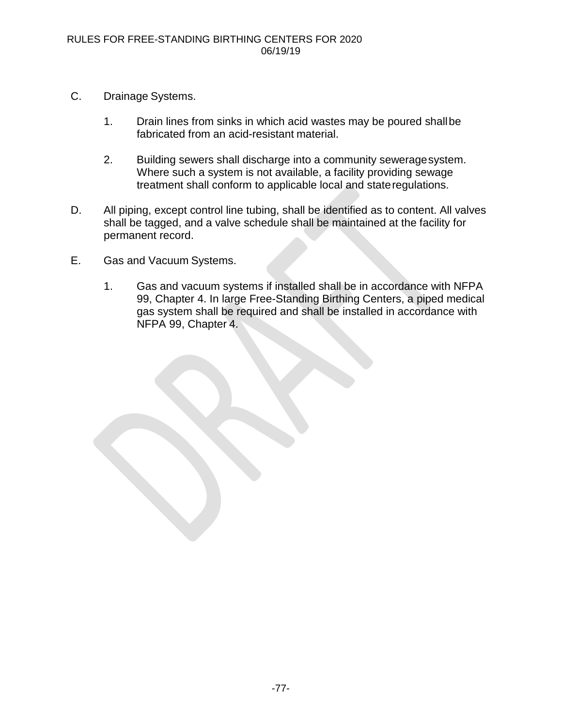- C. Drainage Systems.
	- 1. Drain lines from sinks in which acid wastes may be poured shallbe fabricated from an acid-resistant material.
	- 2. Building sewers shall discharge into a community seweragesystem. Where such a system is not available, a facility providing sewage treatment shall conform to applicable local and stateregulations.
- D. All piping, except control line tubing, shall be identified as to content. All valves shall be tagged, and a valve schedule shall be maintained at the facility for permanent record.
- E. Gas and Vacuum Systems.
	- 1. Gas and vacuum systems if installed shall be in accordance with NFPA 99, Chapter 4. In large Free-Standing Birthing Centers, a piped medical gas system shall be required and shall be installed in accordance with NFPA 99, Chapter 4.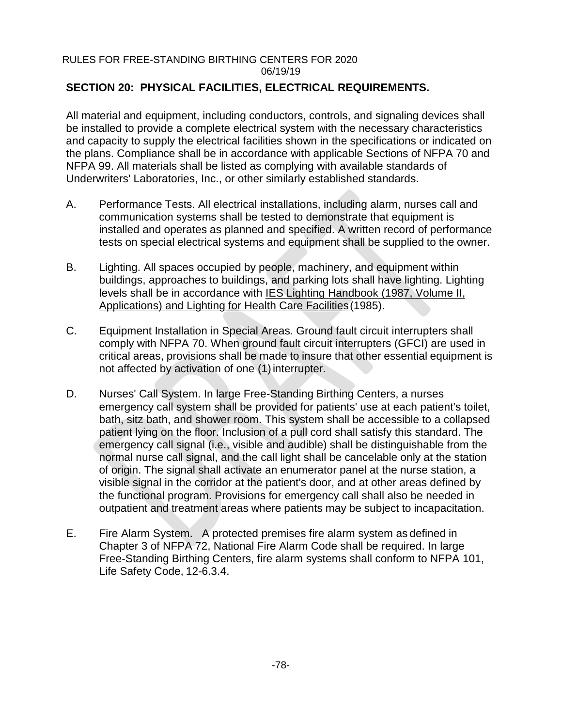# **SECTION 20: PHYSICAL FACILITIES, ELECTRICAL REQUIREMENTS.**

All material and equipment, including conductors, controls, and signaling devices shall be installed to provide a complete electrical system with the necessary characteristics and capacity to supply the electrical facilities shown in the specifications or indicated on the plans. Compliance shall be in accordance with applicable Sections of NFPA 70 and NFPA 99. All materials shall be listed as complying with available standards of Underwriters' Laboratories, Inc., or other similarly established standards.

- A. Performance Tests. All electrical installations, including alarm, nurses call and communication systems shall be tested to demonstrate that equipment is installed and operates as planned and specified. A written record of performance tests on special electrical systems and equipment shall be supplied to the owner.
- B. Lighting. All spaces occupied by people, machinery, and equipment within buildings, approaches to buildings, and parking lots shall have lighting. Lighting levels shall be in accordance with IES Lighting Handbook (1987, Volume II, Applications) and Lighting for Health Care Facilities(1985).
- C. Equipment Installation in Special Areas. Ground fault circuit interrupters shall comply with NFPA 70. When ground fault circuit interrupters (GFCI) are used in critical areas, provisions shall be made to insure that other essential equipment is not affected by activation of one (1) interrupter.
- D. Nurses' Call System. In large Free-Standing Birthing Centers, a nurses emergency call system shall be provided for patients' use at each patient's toilet, bath, sitz bath, and shower room. This system shall be accessible to a collapsed patient lying on the floor. Inclusion of a pull cord shall satisfy this standard. The emergency call signal (i.e., visible and audible) shall be distinguishable from the normal nurse call signal, and the call light shall be cancelable only at the station of origin. The signal shall activate an enumerator panel at the nurse station, a visible signal in the corridor at the patient's door, and at other areas defined by the functional program. Provisions for emergency call shall also be needed in outpatient and treatment areas where patients may be subject to incapacitation.
- E. Fire Alarm System. A protected premises fire alarm system as defined in Chapter 3 of NFPA 72, National Fire Alarm Code shall be required. In large Free-Standing Birthing Centers, fire alarm systems shall conform to NFPA 101, Life Safety Code, 12-6.3.4.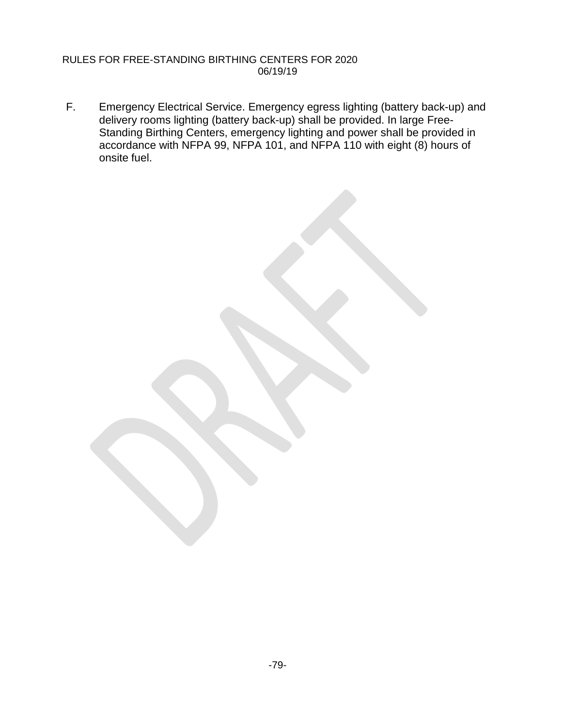F. Emergency Electrical Service. Emergency egress lighting (battery back-up) and delivery rooms lighting (battery back-up) shall be provided. In large Free-Standing Birthing Centers, emergency lighting and power shall be provided in accordance with NFPA 99, NFPA 101, and NFPA 110 with eight (8) hours of onsite fuel.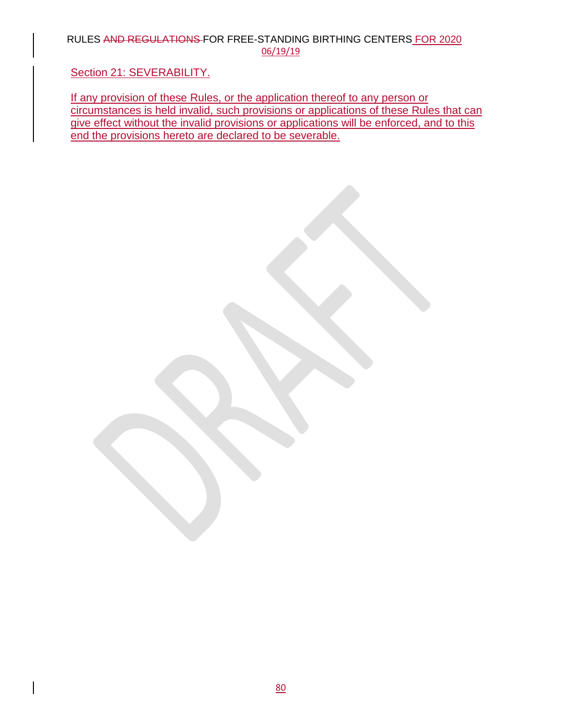### RULES AND REGULATIONS FOR FREE-STANDING BIRTHING CENTERS FOR 2020 06/19/19

# Section 21: SEVERABILITY.

If any provision of these Rules, or the application thereof to any person or circumstances is held invalid, such provisions or applications of these Rules that can give effect without the invalid provisions or applications will be enforced, and to this end the provisions hereto are declared to be severable.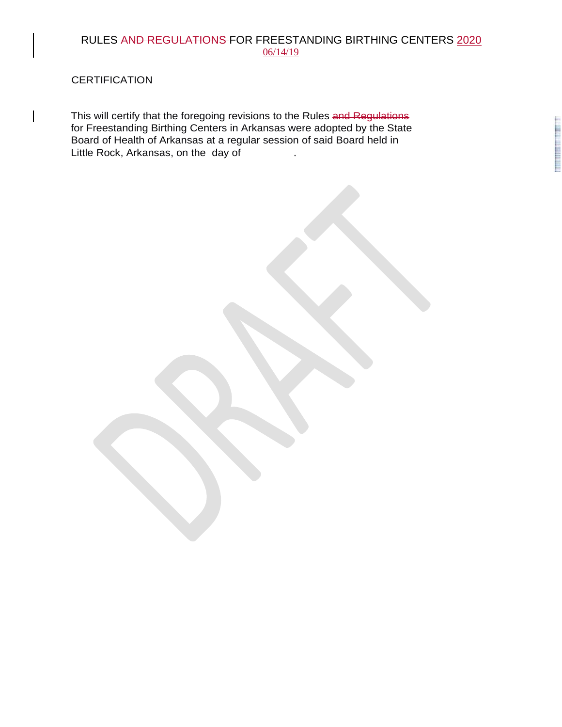## RULES AND REGULATIONS FOR FREESTANDING BIRTHING CENTERS 2020 06/14/19

**CERTIFICATION** 

This will certify that the foregoing revisions to the Rules and Regulations for Freestanding Birthing Centers in Arkansas were adopted by the State Board of Health of Arkansas at a regular session of said Board held in Little Rock, Arkansas, on the day of .